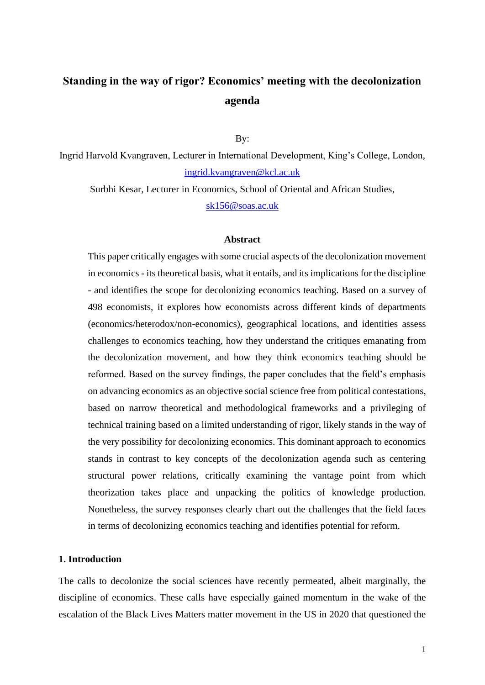# **Standing in the way of rigor? Economics' meeting with the decolonization agenda**

By:

Ingrid Harvold Kvangraven, Lecturer in International Development, King's College, London, [ingrid.kvangraven@kcl.ac.uk](mailto:ingrid.kvangraven@kcl.ac.uk)

Surbhi Kesar, Lecturer in Economics, School of Oriental and African Studies,

[sk156@soas.ac.uk](mailto:sk156@soas.ac.uk)

#### **Abstract**

This paper critically engages with some crucial aspects of the decolonization movement in economics - its theoretical basis, what it entails, and its implications for the discipline - and identifies the scope for decolonizing economics teaching. Based on a survey of 498 economists, it explores how economists across different kinds of departments (economics/heterodox/non-economics), geographical locations, and identities assess challenges to economics teaching, how they understand the critiques emanating from the decolonization movement, and how they think economics teaching should be reformed. Based on the survey findings, the paper concludes that the field's emphasis on advancing economics as an objective social science free from political contestations, based on narrow theoretical and methodological frameworks and a privileging of technical training based on a limited understanding of rigor, likely stands in the way of the very possibility for decolonizing economics. This dominant approach to economics stands in contrast to key concepts of the decolonization agenda such as centering structural power relations, critically examining the vantage point from which theorization takes place and unpacking the politics of knowledge production. Nonetheless, the survey responses clearly chart out the challenges that the field faces in terms of decolonizing economics teaching and identifies potential for reform.

## **1. Introduction**

The calls to decolonize the social sciences have recently permeated, albeit marginally, the discipline of economics. These calls have especially gained momentum in the wake of the escalation of the Black Lives Matters matter movement in the US in 2020 that questioned the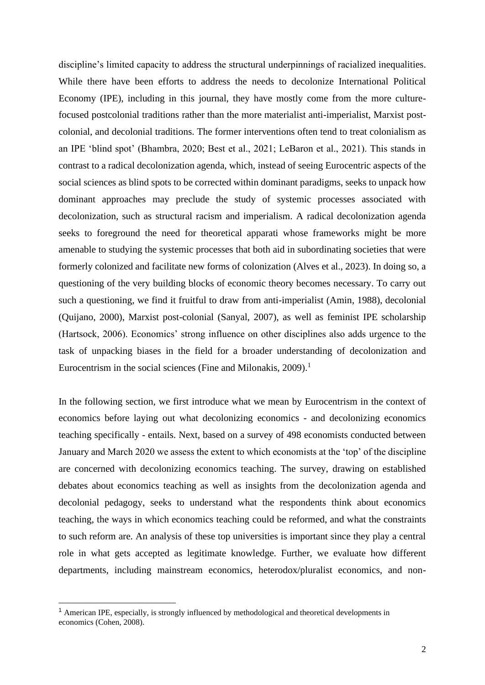discipline's limited capacity to address the structural underpinnings of racialized inequalities. While there have been efforts to address the needs to decolonize International Political Economy (IPE), including in this journal, they have mostly come from the more culturefocused postcolonial traditions rather than the more materialist anti-imperialist, Marxist postcolonial, and decolonial traditions. The former interventions often tend to treat colonialism as an IPE 'blind spot' (Bhambra, 2020; Best et al., 2021; LeBaron et al., 2021). This stands in contrast to a radical decolonization agenda, which, instead of seeing Eurocentric aspects of the social sciences as blind spots to be corrected within dominant paradigms, seeks to unpack how dominant approaches may preclude the study of systemic processes associated with decolonization, such as structural racism and imperialism. A radical decolonization agenda seeks to foreground the need for theoretical apparati whose frameworks might be more amenable to studying the systemic processes that both aid in subordinating societies that were formerly colonized and facilitate new forms of colonization (Alves et al., 2023). In doing so, a questioning of the very building blocks of economic theory becomes necessary. To carry out such a questioning, we find it fruitful to draw from anti-imperialist (Amin, 1988), decolonial (Quijano, 2000), Marxist post-colonial (Sanyal, 2007), as well as feminist IPE scholarship (Hartsock, 2006). Economics' strong influence on other disciplines also adds urgence to the task of unpacking biases in the field for a broader understanding of decolonization and Eurocentrism in the social sciences (Fine and Milonakis,  $2009$ ).<sup>1</sup>

In the following section, we first introduce what we mean by Eurocentrism in the context of economics before laying out what decolonizing economics - and decolonizing economics teaching specifically - entails. Next, based on a survey of 498 economists conducted between January and March 2020 we assess the extent to which economists at the 'top' of the discipline are concerned with decolonizing economics teaching. The survey, drawing on established debates about economics teaching as well as insights from the decolonization agenda and decolonial pedagogy, seeks to understand what the respondents think about economics teaching, the ways in which economics teaching could be reformed, and what the constraints to such reform are. An analysis of these top universities is important since they play a central role in what gets accepted as legitimate knowledge. Further, we evaluate how different departments, including mainstream economics, heterodox/pluralist economics, and non-

<sup>1</sup> American IPE, especially, is strongly influenced by methodological and theoretical developments in economics (Cohen, 2008).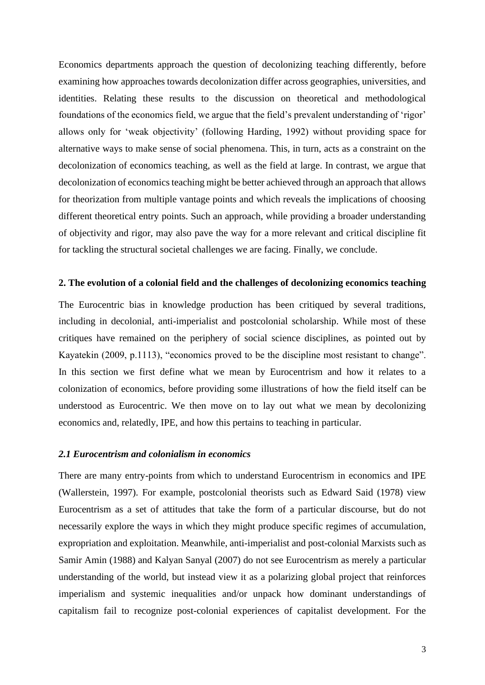Economics departments approach the question of decolonizing teaching differently, before examining how approaches towards decolonization differ across geographies, universities, and identities. Relating these results to the discussion on theoretical and methodological foundations of the economics field, we argue that the field's prevalent understanding of 'rigor' allows only for 'weak objectivity' (following Harding, 1992) without providing space for alternative ways to make sense of social phenomena. This, in turn, acts as a constraint on the decolonization of economics teaching, as well as the field at large. In contrast, we argue that decolonization of economics teaching might be better achieved through an approach that allows for theorization from multiple vantage points and which reveals the implications of choosing different theoretical entry points. Such an approach, while providing a broader understanding of objectivity and rigor, may also pave the way for a more relevant and critical discipline fit for tackling the structural societal challenges we are facing. Finally, we conclude.

## **2. The evolution of a colonial field and the challenges of decolonizing economics teaching**

The Eurocentric bias in knowledge production has been critiqued by several traditions, including in decolonial, anti-imperialist and postcolonial scholarship. While most of these critiques have remained on the periphery of social science disciplines, as pointed out by Kayatekin (2009, p.1113), "economics proved to be the discipline most resistant to change". In this section we first define what we mean by Eurocentrism and how it relates to a colonization of economics, before providing some illustrations of how the field itself can be understood as Eurocentric. We then move on to lay out what we mean by decolonizing economics and, relatedly, IPE, and how this pertains to teaching in particular.

### *2.1 Eurocentrism and colonialism in economics*

There are many entry-points from which to understand Eurocentrism in economics and IPE (Wallerstein, 1997). For example, postcolonial theorists such as Edward Said (1978) view Eurocentrism as a set of attitudes that take the form of a particular discourse, but do not necessarily explore the ways in which they might produce specific regimes of accumulation, expropriation and exploitation. Meanwhile, anti-imperialist and post-colonial Marxists such as Samir Amin (1988) and Kalyan Sanyal (2007) do not see Eurocentrism as merely a particular understanding of the world, but instead view it as a polarizing global project that reinforces imperialism and systemic inequalities and/or unpack how dominant understandings of capitalism fail to recognize post-colonial experiences of capitalist development. For the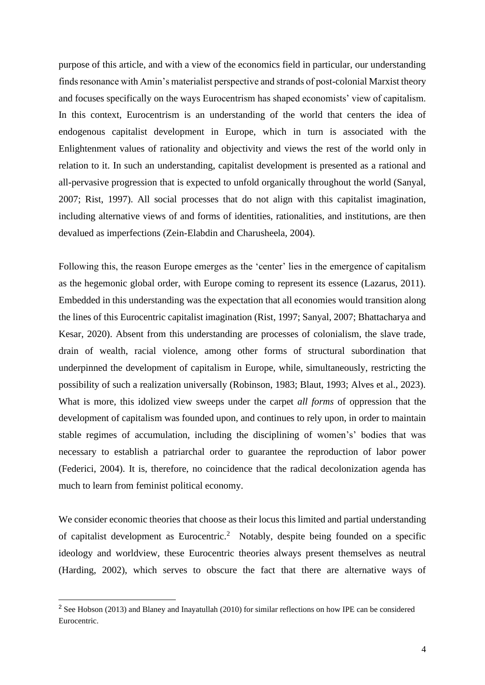purpose of this article, and with a view of the economics field in particular, our understanding finds resonance with Amin's materialist perspective and strands of post-colonial Marxist theory and focuses specifically on the ways Eurocentrism has shaped economists' view of capitalism. In this context, Eurocentrism is an understanding of the world that centers the idea of endogenous capitalist development in Europe, which in turn is associated with the Enlightenment values of rationality and objectivity and views the rest of the world only in relation to it. In such an understanding, capitalist development is presented as a rational and all-pervasive progression that is expected to unfold organically throughout the world (Sanyal, 2007; Rist, 1997). All social processes that do not align with this capitalist imagination, including alternative views of and forms of identities, rationalities, and institutions, are then devalued as imperfections (Zein-Elabdin and Charusheela, 2004).

Following this, the reason Europe emerges as the 'center' lies in the emergence of capitalism as the hegemonic global order, with Europe coming to represent its essence (Lazarus, 2011). Embedded in this understanding was the expectation that all economies would transition along the lines of this Eurocentric capitalist imagination (Rist, 1997; Sanyal, 2007; Bhattacharya and Kesar, 2020). Absent from this understanding are processes of colonialism, the slave trade, drain of wealth, racial violence, among other forms of structural subordination that underpinned the development of capitalism in Europe, while, simultaneously, restricting the possibility of such a realization universally (Robinson, 1983; Blaut, 1993; Alves et al., 2023). What is more, this idolized view sweeps under the carpet *all forms* of oppression that the development of capitalism was founded upon, and continues to rely upon, in order to maintain stable regimes of accumulation, including the disciplining of women's' bodies that was necessary to establish a patriarchal order to guarantee the reproduction of labor power (Federici, 2004). It is, therefore, no coincidence that the radical decolonization agenda has much to learn from feminist political economy.

We consider economic theories that choose as their locus this limited and partial understanding of capitalist development as Eurocentric.<sup>2</sup> Notably, despite being founded on a specific ideology and worldview, these Eurocentric theories always present themselves as neutral (Harding, 2002), which serves to obscure the fact that there are alternative ways of

<sup>&</sup>lt;sup>2</sup> See Hobson (2013) and Blaney and Inayatullah (2010) for similar reflections on how IPE can be considered Eurocentric.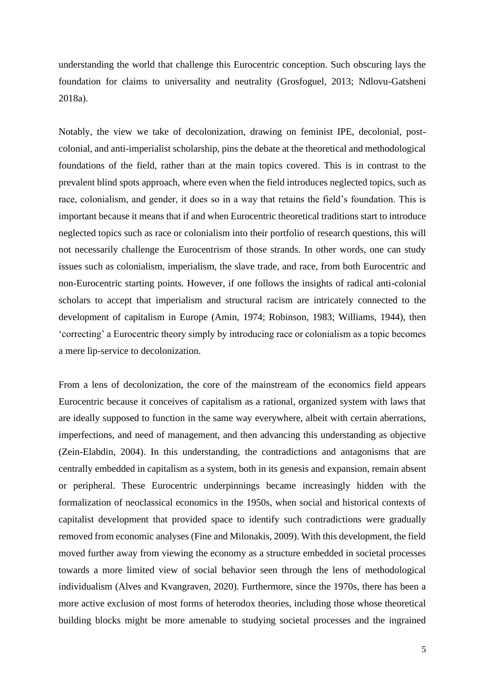understanding the world that challenge this Eurocentric conception. Such obscuring lays the foundation for claims to universality and neutrality (Grosfoguel, 2013; Ndlovu-Gatsheni 2018a).

Notably, the view we take of decolonization, drawing on feminist IPE, decolonial, postcolonial, and anti-imperialist scholarship, pins the debate at the theoretical and methodological foundations of the field, rather than at the main topics covered. This is in contrast to the prevalent blind spots approach, where even when the field introduces neglected topics, such as race, colonialism, and gender, it does so in a way that retains the field's foundation. This is important because it means that if and when Eurocentric theoretical traditions start to introduce neglected topics such as race or colonialism into their portfolio of research questions, this will not necessarily challenge the Eurocentrism of those strands. In other words, one can study issues such as colonialism, imperialism, the slave trade, and race, from both Eurocentric and non-Eurocentric starting points. However, if one follows the insights of radical anti-colonial scholars to accept that imperialism and structural racism are intricately connected to the development of capitalism in Europe (Amin, 1974; Robinson, 1983; Williams, 1944), then 'correcting' a Eurocentric theory simply by introducing race or colonialism as a topic becomes a mere lip-service to decolonization.

From a lens of decolonization, the core of the mainstream of the economics field appears Eurocentric because it conceives of capitalism as a rational, organized system with laws that are ideally supposed to function in the same way everywhere, albeit with certain aberrations, imperfections, and need of management, and then advancing this understanding as objective (Zein-Elabdin, 2004). In this understanding, the contradictions and antagonisms that are centrally embedded in capitalism as a system, both in its genesis and expansion, remain absent or peripheral. These Eurocentric underpinnings became increasingly hidden with the formalization of neoclassical economics in the 1950s, when social and historical contexts of capitalist development that provided space to identify such contradictions were gradually removed from economic analyses (Fine and Milonakis, 2009). With this development, the field moved further away from viewing the economy as a structure embedded in societal processes towards a more limited view of social behavior seen through the lens of methodological individualism (Alves and Kvangraven, 2020). Furthermore, since the 1970s, there has been a more active exclusion of most forms of heterodox theories, including those whose theoretical building blocks might be more amenable to studying societal processes and the ingrained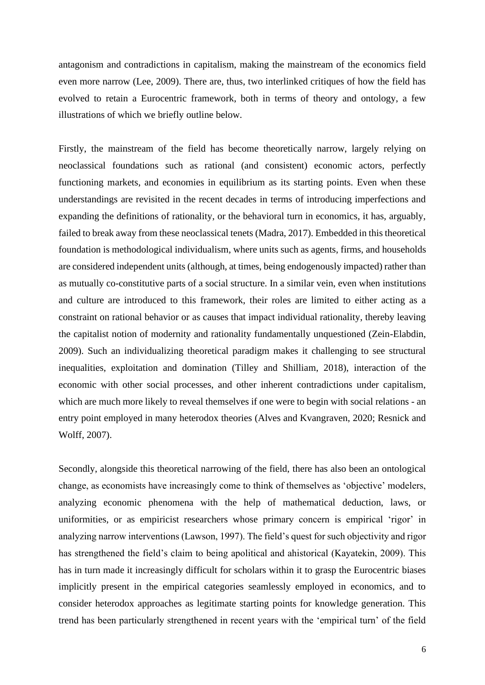antagonism and contradictions in capitalism, making the mainstream of the economics field even more narrow (Lee, 2009). There are, thus, two interlinked critiques of how the field has evolved to retain a Eurocentric framework, both in terms of theory and ontology, a few illustrations of which we briefly outline below.

Firstly, the mainstream of the field has become theoretically narrow, largely relying on neoclassical foundations such as rational (and consistent) economic actors, perfectly functioning markets, and economies in equilibrium as its starting points. Even when these understandings are revisited in the recent decades in terms of introducing imperfections and expanding the definitions of rationality, or the behavioral turn in economics, it has, arguably, failed to break away from these neoclassical tenets (Madra, 2017). Embedded in this theoretical foundation is methodological individualism, where units such as agents, firms, and households are considered independent units (although, at times, being endogenously impacted) rather than as mutually co-constitutive parts of a social structure. In a similar vein, even when institutions and culture are introduced to this framework, their roles are limited to either acting as a constraint on rational behavior or as causes that impact individual rationality, thereby leaving the capitalist notion of modernity and rationality fundamentally unquestioned (Zein-Elabdin, 2009). Such an individualizing theoretical paradigm makes it challenging to see structural inequalities, exploitation and domination (Tilley and Shilliam, 2018), interaction of the economic with other social processes, and other inherent contradictions under capitalism, which are much more likely to reveal themselves if one were to begin with social relations - an entry point employed in many heterodox theories (Alves and Kvangraven, 2020; Resnick and Wolff, 2007).

Secondly, alongside this theoretical narrowing of the field, there has also been an ontological change, as economists have increasingly come to think of themselves as 'objective' modelers, analyzing economic phenomena with the help of mathematical deduction, laws, or uniformities, or as empiricist researchers whose primary concern is empirical 'rigor' in analyzing narrow interventions (Lawson, 1997). The field's quest for such objectivity and rigor has strengthened the field's claim to being apolitical and ahistorical (Kayatekin, 2009). This has in turn made it increasingly difficult for scholars within it to grasp the Eurocentric biases implicitly present in the empirical categories seamlessly employed in economics, and to consider heterodox approaches as legitimate starting points for knowledge generation. This trend has been particularly strengthened in recent years with the 'empirical turn' of the field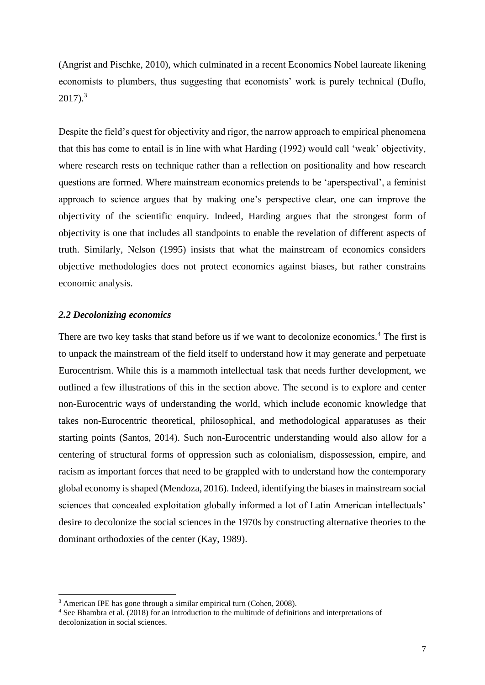(Angrist and Pischke, 2010), which culminated in a recent Economics Nobel laureate likening economists to plumbers, thus suggesting that economists' work is purely technical (Duflo,  $2017$ ).<sup>3</sup>

Despite the field's quest for objectivity and rigor, the narrow approach to empirical phenomena that this has come to entail is in line with what Harding (1992) would call 'weak' objectivity, where research rests on technique rather than a reflection on positionality and how research questions are formed. Where mainstream economics pretends to be 'aperspectival', a feminist approach to science argues that by making one's perspective clear, one can improve the objectivity of the scientific enquiry. Indeed, Harding argues that the strongest form of objectivity is one that includes all standpoints to enable the revelation of different aspects of truth. Similarly, Nelson (1995) insists that what the mainstream of economics considers objective methodologies does not protect economics against biases, but rather constrains economic analysis.

## *2.2 Decolonizing economics*

There are two key tasks that stand before us if we want to decolonize economics.<sup>4</sup> The first is to unpack the mainstream of the field itself to understand how it may generate and perpetuate Eurocentrism. While this is a mammoth intellectual task that needs further development, we outlined a few illustrations of this in the section above. The second is to explore and center non-Eurocentric ways of understanding the world, which include economic knowledge that takes non-Eurocentric theoretical, philosophical, and methodological apparatuses as their starting points (Santos, 2014). Such non-Eurocentric understanding would also allow for a centering of structural forms of oppression such as colonialism, dispossession, empire, and racism as important forces that need to be grappled with to understand how the contemporary global economy is shaped (Mendoza, 2016). Indeed, identifying the biases in mainstream social sciences that concealed exploitation globally informed a lot of Latin American intellectuals' desire to decolonize the social sciences in the 1970s by constructing alternative theories to the dominant orthodoxies of the center (Kay, 1989).

<sup>3</sup> American IPE has gone through a similar empirical turn (Cohen, 2008).

<sup>4</sup> See Bhambra et al. (2018) for an introduction to the multitude of definitions and interpretations of decolonization in social sciences.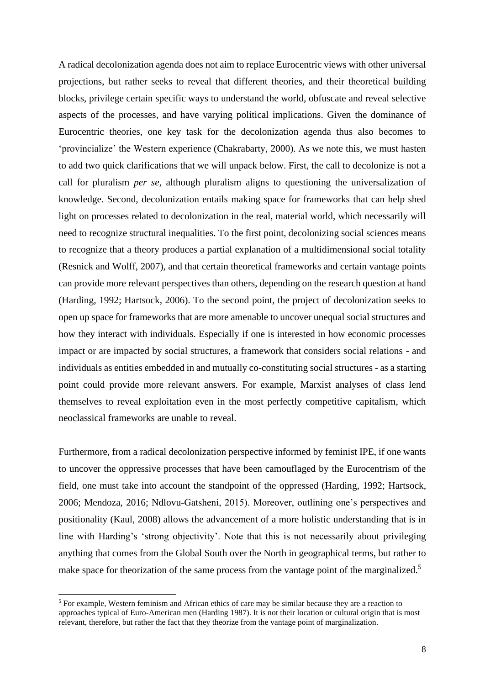A radical decolonization agenda does not aim to replace Eurocentric views with other universal projections, but rather seeks to reveal that different theories, and their theoretical building blocks, privilege certain specific ways to understand the world, obfuscate and reveal selective aspects of the processes, and have varying political implications. Given the dominance of Eurocentric theories, one key task for the decolonization agenda thus also becomes to 'provincialize' the Western experience (Chakrabarty, 2000). As we note this, we must hasten to add two quick clarifications that we will unpack below. First, the call to decolonize is not a call for pluralism *per se*, although pluralism aligns to questioning the universalization of knowledge. Second, decolonization entails making space for frameworks that can help shed light on processes related to decolonization in the real, material world, which necessarily will need to recognize structural inequalities. To the first point, decolonizing social sciences means to recognize that a theory produces a partial explanation of a multidimensional social totality (Resnick and Wolff, 2007), and that certain theoretical frameworks and certain vantage points can provide more relevant perspectives than others, depending on the research question at hand (Harding, 1992; Hartsock, 2006). To the second point, the project of decolonization seeks to open up space for frameworks that are more amenable to uncover unequal social structures and how they interact with individuals. Especially if one is interested in how economic processes impact or are impacted by social structures, a framework that considers social relations - and individuals as entities embedded in and mutually co-constituting social structures - as a starting point could provide more relevant answers. For example, Marxist analyses of class lend themselves to reveal exploitation even in the most perfectly competitive capitalism, which neoclassical frameworks are unable to reveal.

Furthermore, from a radical decolonization perspective informed by feminist IPE, if one wants to uncover the oppressive processes that have been camouflaged by the Eurocentrism of the field, one must take into account the standpoint of the oppressed (Harding, 1992; Hartsock, 2006; Mendoza, 2016; Ndlovu-Gatsheni, 2015). Moreover, outlining one's perspectives and positionality (Kaul, 2008) allows the advancement of a more holistic understanding that is in line with Harding's 'strong objectivity'. Note that this is not necessarily about privileging anything that comes from the Global South over the North in geographical terms, but rather to make space for theorization of the same process from the vantage point of the marginalized.<sup>5</sup>

<sup>5</sup> For example, Western feminism and African ethics of care may be similar because they are a reaction to approaches typical of Euro-American men (Harding 1987). It is not their location or cultural origin that is most relevant, therefore, but rather the fact that they theorize from the vantage point of marginalization.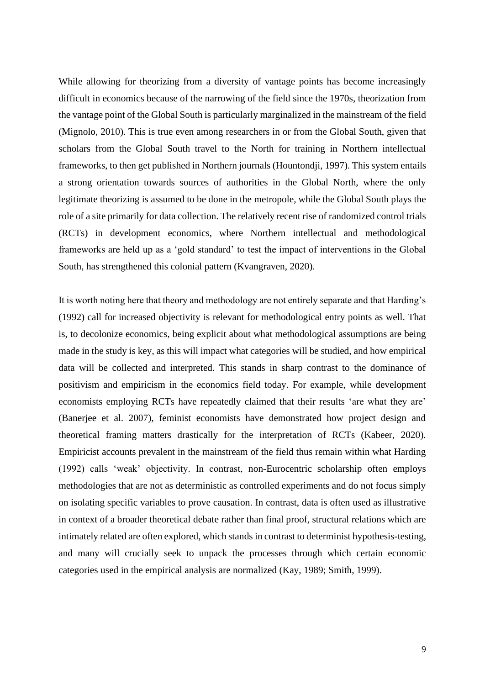While allowing for theorizing from a diversity of vantage points has become increasingly difficult in economics because of the narrowing of the field since the 1970s, theorization from the vantage point of the Global South is particularly marginalized in the mainstream of the field (Mignolo, 2010). This is true even among researchers in or from the Global South, given that scholars from the Global South travel to the North for training in Northern intellectual frameworks, to then get published in Northern journals (Hountondji, 1997). This system entails a strong orientation towards sources of authorities in the Global North, where the only legitimate theorizing is assumed to be done in the metropole, while the Global South plays the role of a site primarily for data collection. The relatively recent rise of randomized control trials (RCTs) in development economics, where Northern intellectual and methodological frameworks are held up as a 'gold standard' to test the impact of interventions in the Global South, has strengthened this colonial pattern (Kvangraven, 2020).

It is worth noting here that theory and methodology are not entirely separate and that Harding's (1992) call for increased objectivity is relevant for methodological entry points as well. That is, to decolonize economics, being explicit about what methodological assumptions are being made in the study is key, as this will impact what categories will be studied, and how empirical data will be collected and interpreted. This stands in sharp contrast to the dominance of positivism and empiricism in the economics field today. For example, while development economists employing RCTs have repeatedly claimed that their results 'are what they are' (Banerjee et al. 2007), feminist economists have demonstrated how project design and theoretical framing matters drastically for the interpretation of RCTs (Kabeer, 2020). Empiricist accounts prevalent in the mainstream of the field thus remain within what Harding (1992) calls 'weak' objectivity. In contrast, non-Eurocentric scholarship often employs methodologies that are not as deterministic as controlled experiments and do not focus simply on isolating specific variables to prove causation. In contrast, data is often used as illustrative in context of a broader theoretical debate rather than final proof, structural relations which are intimately related are often explored, which stands in contrast to determinist hypothesis-testing, and many will crucially seek to unpack the processes through which certain economic categories used in the empirical analysis are normalized (Kay, 1989; Smith, 1999).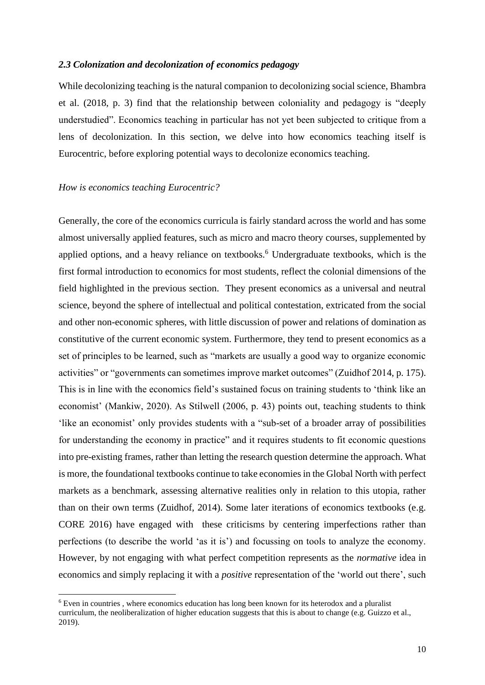## *2.3 Colonization and decolonization of economics pedagogy*

While decolonizing teaching is the natural companion to decolonizing social science, Bhambra et al. (2018, p. 3) find that the relationship between coloniality and pedagogy is "deeply understudied". Economics teaching in particular has not yet been subjected to critique from a lens of decolonization. In this section, we delve into how economics teaching itself is Eurocentric, before exploring potential ways to decolonize economics teaching.

## *How is economics teaching Eurocentric?*

Generally, the core of the economics curricula is fairly standard across the world and has some almost universally applied features, such as micro and macro theory courses, supplemented by applied options, and a heavy reliance on textbooks.<sup>6</sup> Undergraduate textbooks, which is the first formal introduction to economics for most students, reflect the colonial dimensions of the field highlighted in the previous section. They present economics as a universal and neutral science, beyond the sphere of intellectual and political contestation, extricated from the social and other non-economic spheres, with little discussion of power and relations of domination as constitutive of the current economic system. Furthermore, they tend to present economics as a set of principles to be learned, such as "markets are usually a good way to organize economic activities" or "governments can sometimes improve market outcomes" (Zuidhof 2014, p. 175). This is in line with the economics field's sustained focus on training students to 'think like an economist' (Mankiw, 2020). As Stilwell (2006, p. 43) points out, teaching students to think 'like an economist' only provides students with a "sub-set of a broader array of possibilities for understanding the economy in practice" and it requires students to fit economic questions into pre-existing frames, rather than letting the research question determine the approach. What is more, the foundational textbooks continue to take economies in the Global North with perfect markets as a benchmark, assessing alternative realities only in relation to this utopia, rather than on their own terms (Zuidhof, 2014). Some later iterations of economics textbooks (e.g. CORE 2016) have engaged with these criticisms by centering imperfections rather than perfections (to describe the world 'as it is') and focussing on tools to analyze the economy. However, by not engaging with what perfect competition represents as the *normative* idea in economics and simply replacing it with a *positive* representation of the 'world out there', such

<sup>6</sup> Even in countries , where economics education has long been known for its heterodox and a pluralist curriculum, the neoliberalization of higher education suggests that this is about to change (e.g. Guizzo et al., 2019).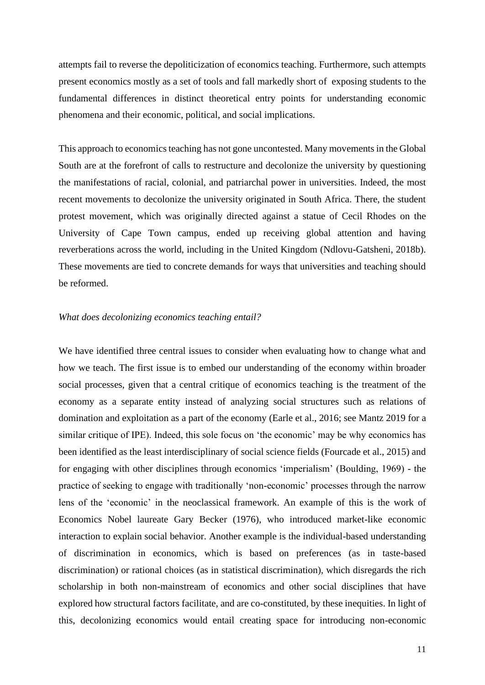attempts fail to reverse the depoliticization of economics teaching. Furthermore, such attempts present economics mostly as a set of tools and fall markedly short of exposing students to the fundamental differences in distinct theoretical entry points for understanding economic phenomena and their economic, political, and social implications.

This approach to economics teaching has not gone uncontested. Many movements in the Global South are at the forefront of calls to restructure and decolonize the university by questioning the manifestations of racial, colonial, and patriarchal power in universities. Indeed, the most recent movements to decolonize the university originated in South Africa. There, the student protest movement, which was originally directed against a statue of Cecil Rhodes on the University of Cape Town campus, ended up receiving global attention and having reverberations across the world, including in the United Kingdom (Ndlovu-Gatsheni, 2018b). These movements are tied to concrete demands for ways that universities and teaching should be reformed.

## *What does decolonizing economics teaching entail?*

We have identified three central issues to consider when evaluating how to change what and how we teach. The first issue is to embed our understanding of the economy within broader social processes, given that a central critique of economics teaching is the treatment of the economy as a separate entity instead of analyzing social structures such as relations of domination and exploitation as a part of the economy (Earle et al., 2016; see Mantz 2019 for a similar critique of IPE). Indeed, this sole focus on 'the economic' may be why economics has been identified as the least interdisciplinary of social science fields (Fourcade et al., 2015) and for engaging with other disciplines through economics 'imperialism' (Boulding, 1969) - the practice of seeking to engage with traditionally 'non-economic' processes through the narrow lens of the 'economic' in the neoclassical framework. An example of this is the work of Economics Nobel laureate Gary Becker (1976), who introduced market-like economic interaction to explain social behavior. Another example is the individual-based understanding of discrimination in economics, which is based on preferences (as in taste-based discrimination) or rational choices (as in statistical discrimination), which disregards the rich scholarship in both non-mainstream of economics and other social disciplines that have explored how structural factors facilitate, and are co-constituted, by these inequities. In light of this, decolonizing economics would entail creating space for introducing non-economic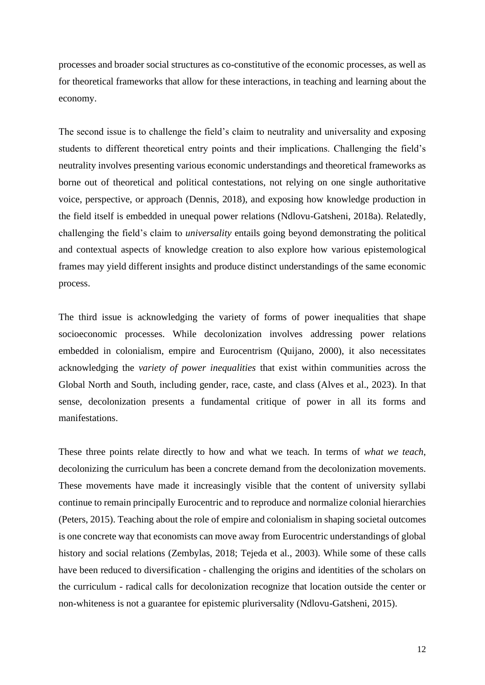processes and broader social structures as co-constitutive of the economic processes, as well as for theoretical frameworks that allow for these interactions, in teaching and learning about the economy.

The second issue is to challenge the field's claim to neutrality and universality and exposing students to different theoretical entry points and their implications. Challenging the field's neutrality involves presenting various economic understandings and theoretical frameworks as borne out of theoretical and political contestations, not relying on one single authoritative voice, perspective, or approach (Dennis, 2018), and exposing how knowledge production in the field itself is embedded in unequal power relations (Ndlovu-Gatsheni, 2018a). Relatedly, challenging the field's claim to *universality* entails going beyond demonstrating the political and contextual aspects of knowledge creation to also explore how various epistemological frames may yield different insights and produce distinct understandings of the same economic process.

The third issue is acknowledging the variety of forms of power inequalities that shape socioeconomic processes. While decolonization involves addressing power relations embedded in colonialism, empire and Eurocentrism (Quijano, 2000), it also necessitates acknowledging the *variety of power inequalities* that exist within communities across the Global North and South, including gender, race, caste, and class (Alves et al., 2023). In that sense, decolonization presents a fundamental critique of power in all its forms and manifestations.

These three points relate directly to how and what we teach. In terms of *what we teach*, decolonizing the curriculum has been a concrete demand from the decolonization movements. These movements have made it increasingly visible that the content of university syllabi continue to remain principally Eurocentric and to reproduce and normalize colonial hierarchies (Peters, 2015). Teaching about the role of empire and colonialism in shaping societal outcomes is one concrete way that economists can move away from Eurocentric understandings of global history and social relations (Zembylas, 2018; Tejeda et al., 2003). While some of these calls have been reduced to diversification - challenging the origins and identities of the scholars on the curriculum - radical calls for decolonization recognize that location outside the center or non-whiteness is not a guarantee for epistemic pluriversality (Ndlovu-Gatsheni, 2015).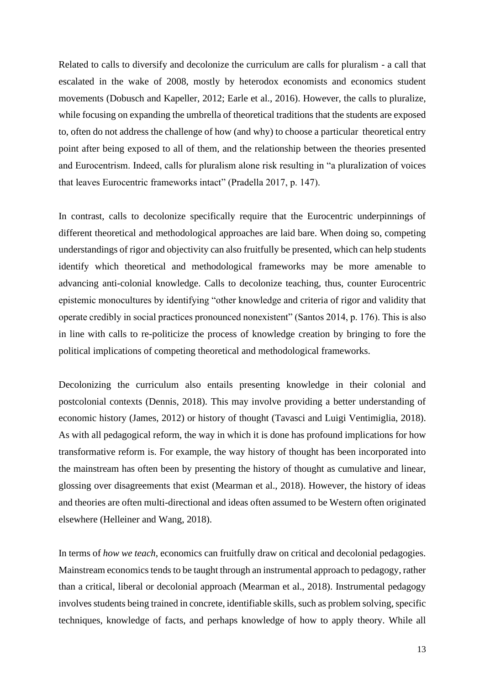Related to calls to diversify and decolonize the curriculum are calls for pluralism - a call that escalated in the wake of 2008, mostly by heterodox economists and economics student movements (Dobusch and Kapeller, 2012; Earle et al., 2016). However, the calls to pluralize, while focusing on expanding the umbrella of theoretical traditions that the students are exposed to, often do not address the challenge of how (and why) to choose a particular theoretical entry point after being exposed to all of them, and the relationship between the theories presented and Eurocentrism. Indeed, calls for pluralism alone risk resulting in "a pluralization of voices that leaves Eurocentric frameworks intact" (Pradella 2017, p. 147).

In contrast, calls to decolonize specifically require that the Eurocentric underpinnings of different theoretical and methodological approaches are laid bare. When doing so, competing understandings of rigor and objectivity can also fruitfully be presented, which can help students identify which theoretical and methodological frameworks may be more amenable to advancing anti-colonial knowledge. Calls to decolonize teaching, thus, counter Eurocentric epistemic monocultures by identifying "other knowledge and criteria of rigor and validity that operate credibly in social practices pronounced nonexistent" (Santos 2014, p. 176). This is also in line with calls to re-politicize the process of knowledge creation by bringing to fore the political implications of competing theoretical and methodological frameworks.

Decolonizing the curriculum also entails presenting knowledge in their colonial and postcolonial contexts (Dennis, 2018). This may involve providing a better understanding of economic history (James, 2012) or history of thought (Tavasci and Luigi Ventimiglia, 2018). As with all pedagogical reform, the way in which it is done has profound implications for how transformative reform is. For example, the way history of thought has been incorporated into the mainstream has often been by presenting the history of thought as cumulative and linear, glossing over disagreements that exist (Mearman et al., 2018). However, the history of ideas and theories are often multi-directional and ideas often assumed to be Western often originated elsewhere (Helleiner and Wang, 2018).

In terms of *how we teach*, economics can fruitfully draw on critical and decolonial pedagogies. Mainstream economics tends to be taught through an instrumental approach to pedagogy, rather than a critical, liberal or decolonial approach (Mearman et al., 2018). Instrumental pedagogy involves students being trained in concrete, identifiable skills, such as problem solving, specific techniques, knowledge of facts, and perhaps knowledge of how to apply theory. While all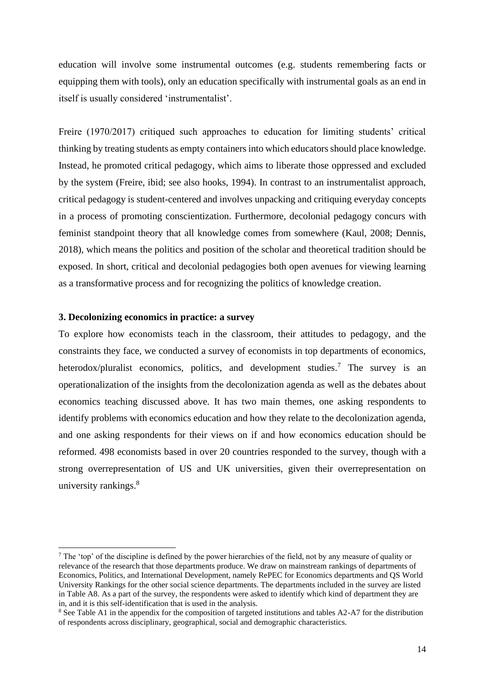education will involve some instrumental outcomes (e.g. students remembering facts or equipping them with tools), only an education specifically with instrumental goals as an end in itself is usually considered 'instrumentalist'.

Freire (1970/2017) critiqued such approaches to education for limiting students' critical thinking by treating students as empty containers into which educators should place knowledge. Instead, he promoted critical pedagogy, which aims to liberate those oppressed and excluded by the system (Freire, ibid; see also hooks, 1994). In contrast to an instrumentalist approach, critical pedagogy is student-centered and involves unpacking and critiquing everyday concepts in a process of promoting conscientization. Furthermore, decolonial pedagogy concurs with feminist standpoint theory that all knowledge comes from somewhere (Kaul, 2008; Dennis, 2018), which means the politics and position of the scholar and theoretical tradition should be exposed. In short, critical and decolonial pedagogies both open avenues for viewing learning as a transformative process and for recognizing the politics of knowledge creation.

#### **3. Decolonizing economics in practice: a survey**

To explore how economists teach in the classroom, their attitudes to pedagogy, and the constraints they face, we conducted a survey of economists in top departments of economics, heterodox/pluralist economics, politics, and development studies.<sup>7</sup> The survey is an operationalization of the insights from the decolonization agenda as well as the debates about economics teaching discussed above. It has two main themes, one asking respondents to identify problems with economics education and how they relate to the decolonization agenda, and one asking respondents for their views on if and how economics education should be reformed. 498 economists based in over 20 countries responded to the survey, though with a strong overrepresentation of US and UK universities, given their overrepresentation on university rankings.<sup>8</sup>

<sup>&</sup>lt;sup>7</sup> The 'top' of the discipline is defined by the power hierarchies of the field, not by any measure of quality or relevance of the research that those departments produce. We draw on mainstream rankings of departments of Economics, Politics, and International Development, namely RePEC for Economics departments and QS World University Rankings for the other social science departments. The departments included in the survey are listed in Table A8. As a part of the survey, the respondents were asked to identify which kind of department they are in, and it is this self-identification that is used in the analysis.

<sup>&</sup>lt;sup>8</sup> See Table A1 in the appendix for the composition of targeted institutions and tables A2-A7 for the distribution of respondents across disciplinary, geographical, social and demographic characteristics.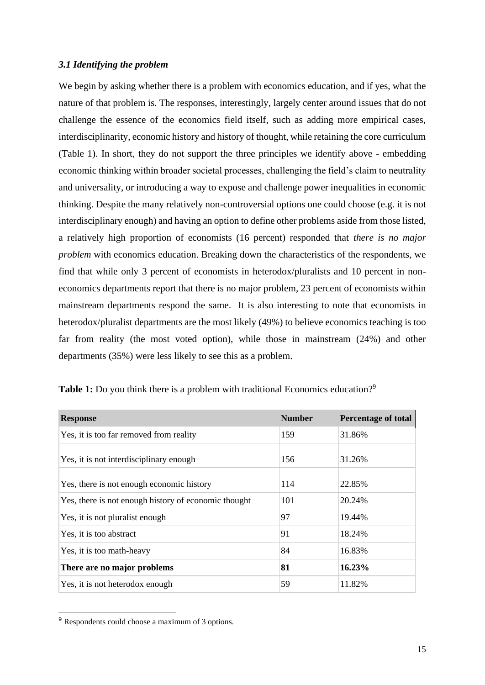## *3.1 Identifying the problem*

We begin by asking whether there is a problem with economics education, and if yes, what the nature of that problem is. The responses, interestingly, largely center around issues that do not challenge the essence of the economics field itself, such as adding more empirical cases, interdisciplinarity, economic history and history of thought, while retaining the core curriculum (Table 1). In short, they do not support the three principles we identify above - embedding economic thinking within broader societal processes, challenging the field's claim to neutrality and universality, or introducing a way to expose and challenge power inequalities in economic thinking. Despite the many relatively non-controversial options one could choose (e.g. it is not interdisciplinary enough) and having an option to define other problems aside from those listed, a relatively high proportion of economists (16 percent) responded that *there is no major problem* with economics education. Breaking down the characteristics of the respondents, we find that while only 3 percent of economists in heterodox/pluralists and 10 percent in noneconomics departments report that there is no major problem, 23 percent of economists within mainstream departments respond the same. It is also interesting to note that economists in heterodox/pluralist departments are the most likely (49%) to believe economics teaching is too far from reality (the most voted option), while those in mainstream (24%) and other departments (35%) were less likely to see this as a problem.

| <b>Response</b>                                      | <b>Number</b> | <b>Percentage of total</b> |
|------------------------------------------------------|---------------|----------------------------|
| Yes, it is too far removed from reality              | 159           | 31.86%                     |
| Yes, it is not interdisciplinary enough              | 156           | 31.26%                     |
| Yes, there is not enough economic history            | 114           | 22.85%                     |
| Yes, there is not enough history of economic thought | 101           | 20.24\%                    |
| Yes, it is not pluralist enough                      | 97            | 19.44%                     |
| Yes, it is too abstract                              | 91            | 18.24%                     |
| Yes, it is too math-heavy                            | 84            | 16.83%                     |
| There are no major problems                          | 81            | 16.23%                     |
| Yes, it is not heterodox enough                      | 59            | 11.82%                     |

**Table 1:** Do you think there is a problem with traditional Economics education?<sup>9</sup>

<sup>9</sup> Respondents could choose a maximum of 3 options.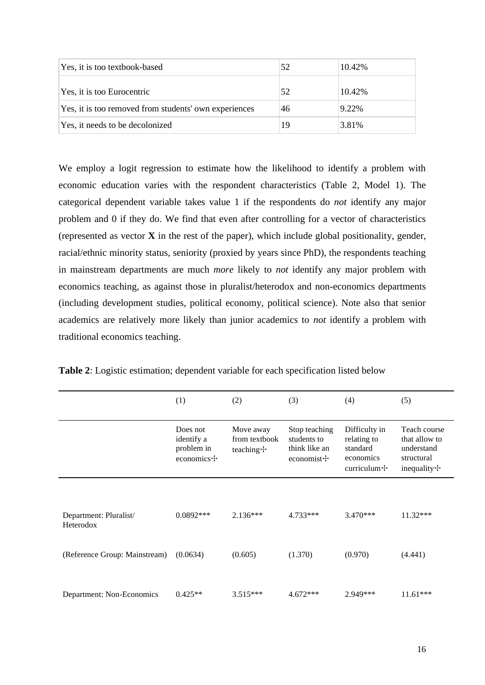| Yes, it is too textbook-based                         | 52 | 10.42\% |
|-------------------------------------------------------|----|---------|
| Yes, it is too Eurocentric                            | 52 | 10.42\% |
| Yes, it is too removed from students' own experiences | 46 | 9.22%   |
| Yes, it needs to be decolonized                       | 19 | 3.81%   |

We employ a logit regression to estimate how the likelihood to identify a problem with economic education varies with the respondent characteristics (Table 2, Model 1). The categorical dependent variable takes value 1 if the respondents do *not* identify any major problem and 0 if they do. We find that even after controlling for a vector of characteristics (represented as vector **X** in the rest of the paper), which include global positionality, gender, racial/ethnic minority status, seniority (proxied by years since PhD), the respondents teaching in mainstream departments are much *more* likely to *not* identify any major problem with economics teaching, as against those in pluralist/heterodox and non-economics departments (including development studies, political economy, political science). Note also that senior academics are relatively more likely than junior academics to *not* identify a problem with traditional economics teaching.

|                                     | (1)                                                | (2)                                      | (3)                                                              | (4)                                                                       | (5)                                                                      |
|-------------------------------------|----------------------------------------------------|------------------------------------------|------------------------------------------------------------------|---------------------------------------------------------------------------|--------------------------------------------------------------------------|
|                                     | Does not<br>identify a<br>problem in<br>economics+ | Move away<br>from textbook<br>teaching + | Stop teaching<br>students to<br>think like an<br>economist $\pm$ | Difficulty in<br>relating to<br>standard<br>economics<br>curriculum $\pm$ | Teach course<br>that allow to<br>understand<br>structural<br>inequality+ |
|                                     |                                                    |                                          |                                                                  |                                                                           |                                                                          |
| Department: Pluralist/<br>Heterodox | $0.0892***$                                        | $2.136***$                               | 4.733***                                                         | $3.470***$                                                                | $11.32***$                                                               |
| (Reference Group: Mainstream)       | (0.0634)                                           | (0.605)                                  | (1.370)                                                          | (0.970)                                                                   | (4.441)                                                                  |
| Department: Non-Economics           | $0.425**$                                          | $3.515***$                               | $4.672***$                                                       | 2.949***                                                                  | $11.61***$                                                               |

**Table 2**: Logistic estimation; dependent variable for each specification listed below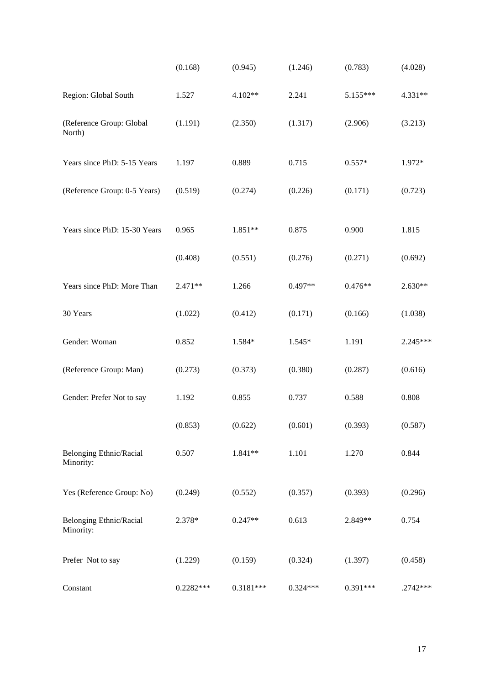|                                             | (0.168)     | (0.945)   | (1.246)    | (0.783)   | (4.028)    |
|---------------------------------------------|-------------|-----------|------------|-----------|------------|
| Region: Global South                        | 1.527       | 4.102**   | 2.241      | 5.155***  | 4.331**    |
| (Reference Group: Global<br>North)          | (1.191)     | (2.350)   | (1.317)    | (2.906)   | (3.213)    |
| Years since PhD: 5-15 Years                 | 1.197       | 0.889     | 0.715      | $0.557*$  | 1.972*     |
| (Reference Group: 0-5 Years)                | (0.519)     | (0.274)   | (0.226)    | (0.171)   | (0.723)    |
| Years since PhD: 15-30 Years                | 0.965       | 1.851**   | 0.875      | 0.900     | 1.815      |
|                                             | (0.408)     | (0.551)   | (0.276)    | (0.271)   | (0.692)    |
| Years since PhD: More Than                  | 2.471**     | 1.266     | $0.497**$  | $0.476**$ | $2.630**$  |
| 30 Years                                    | (1.022)     | (0.412)   | (0.171)    | (0.166)   | (1.038)    |
| Gender: Woman                               | 0.852       | 1.584*    | 1.545*     | 1.191     | 2.245***   |
| (Reference Group: Man)                      | (0.273)     | (0.373)   | (0.380)    | (0.287)   | (0.616)    |
| Gender: Prefer Not to say                   | 1.192       | 0.855     | 0.737      | 0.588     | 0.808      |
|                                             | (0.853)     | (0.622)   | (0.601)    | (0.393)   | (0.587)    |
| <b>Belonging Ethnic/Racial</b><br>Minority: | 0.507       | 1.841**   | 1.101      | 1.270     | 0.844      |
| Yes (Reference Group: No)                   | (0.249)     | (0.552)   | (0.357)    | (0.393)   | (0.296)    |
| <b>Belonging Ethnic/Racial</b><br>Minority: | 2.378*      | $0.247**$ | 0.613      | $2.849**$ | 0.754      |
| Prefer Not to say                           | (1.229)     | (0.159)   | (0.324)    | (1.397)   | (0.458)    |
| Constant                                    | $0.2282***$ | 0.3181*** | $0.324***$ | 0.391***  | $.2742***$ |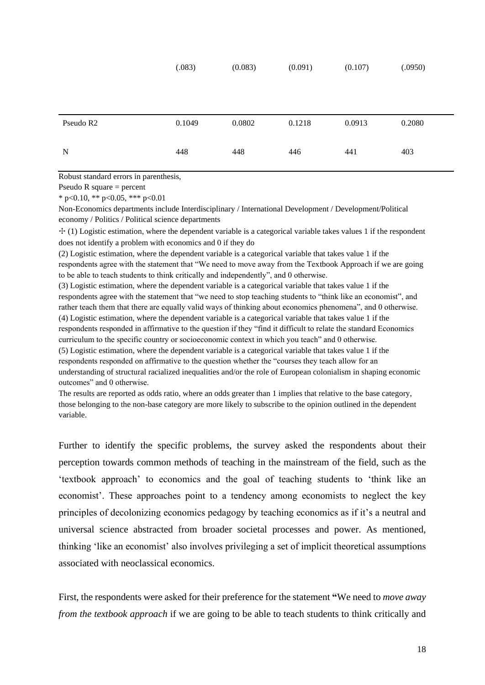|           | (.083) | (0.083) | (0.091) | (0.107) | (.0950) |
|-----------|--------|---------|---------|---------|---------|
| Pseudo R2 | 0.1049 | 0.0802  | 0.1218  | 0.0913  | 0.2080  |
| N         | 448    | 448     | 446     | 441     | 403     |

Robust standard errors in parenthesis,

Pseudo R square  $=$  percent

\* p<0.10, \*\* p<0.05, \*\*\* p<0.01

Non-Economics departments include Interdisciplinary / International Development / Development/Political economy / Politics / Political science departments

✣ (1) Logistic estimation, where the dependent variable is a categorical variable takes values 1 if the respondent does not identify a problem with economics and 0 if they do

(2) Logistic estimation, where the dependent variable is a categorical variable that takes value 1 if the respondents agree with the statement that "We need to move away from the Textbook Approach if we are going to be able to teach students to think critically and independently", and 0 otherwise.

(3) Logistic estimation, where the dependent variable is a categorical variable that takes value 1 if the respondents agree with the statement that "we need to stop teaching students to "think like an economist", and rather teach them that there are equally valid ways of thinking about economics phenomena", and 0 otherwise. (4) Logistic estimation, where the dependent variable is a categorical variable that takes value 1 if the respondents responded in affirmative to the question if they "find it difficult to relate the standard Economics curriculum to the specific country or socioeconomic context in which you teach" and 0 otherwise.

(5) Logistic estimation, where the dependent variable is a categorical variable that takes value 1 if the respondents responded on affirmative to the question whether the "courses they teach allow for an understanding of structural racialized inequalities and/or the role of European colonialism in shaping economic outcomes" and 0 otherwise.

The results are reported as odds ratio, where an odds greater than 1 implies that relative to the base category, those belonging to the non-base category are more likely to subscribe to the opinion outlined in the dependent variable.

Further to identify the specific problems, the survey asked the respondents about their perception towards common methods of teaching in the mainstream of the field, such as the 'textbook approach' to economics and the goal of teaching students to 'think like an economist'. These approaches point to a tendency among economists to neglect the key principles of decolonizing economics pedagogy by teaching economics as if it's a neutral and universal science abstracted from broader societal processes and power. As mentioned, thinking 'like an economist' also involves privileging a set of implicit theoretical assumptions associated with neoclassical economics.

First, the respondents were asked for their preference for the statement **"**We need to *move away from the textbook approach* if we are going to be able to teach students to think critically and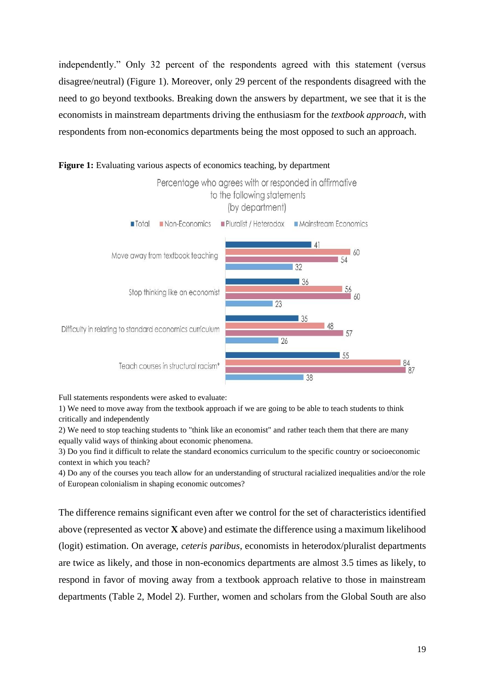independently." Only 32 percent of the respondents agreed with this statement (versus disagree/neutral) (Figure 1). Moreover, only 29 percent of the respondents disagreed with the need to go beyond textbooks. Breaking down the answers by department, we see that it is the economists in mainstream departments driving the enthusiasm for the *textbook approach*, with respondents from non-economics departments being the most opposed to such an approach.



## Figure 1: Evaluating various aspects of economics teaching, by department

Full statements respondents were asked to evaluate:

1) We need to move away from the textbook approach if we are going to be able to teach students to think critically and independently

2) We need to stop teaching students to "think like an economist" and rather teach them that there are many equally valid ways of thinking about economic phenomena.

3) Do you find it difficult to relate the standard economics curriculum to the specific country or socioeconomic context in which you teach?

4) Do any of the courses you teach allow for an understanding of structural racialized inequalities and/or the role of European colonialism in shaping economic outcomes?

The difference remains significant even after we control for the set of characteristics identified above (represented as vector **X** above) and estimate the difference using a maximum likelihood (logit) estimation. On average, *ceteris paribus*, economists in heterodox/pluralist departments are twice as likely, and those in non-economics departments are almost 3.5 times as likely, to respond in favor of moving away from a textbook approach relative to those in mainstream departments (Table 2, Model 2). Further, women and scholars from the Global South are also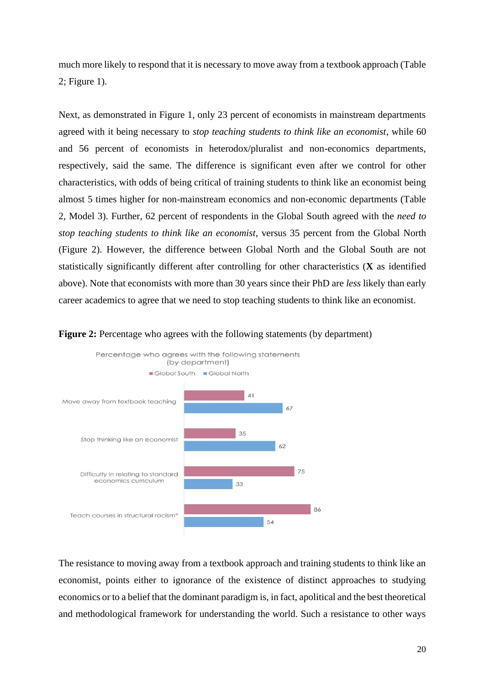much more likely to respond that it is necessary to move away from a textbook approach (Table 2; Figure 1).

Next, as demonstrated in Figure 1, only 23 percent of economists in mainstream departments agreed with it being necessary to *stop teaching students to think like an economist*, while 60 and 56 percent of economists in heterodox/pluralist and non-economics departments, respectively, said the same. The difference is significant even after we control for other characteristics, with odds of being critical of training students to think like an economist being almost 5 times higher for non-mainstream economics and non-economic departments (Table 2, Model 3). Further, 62 percent of respondents in the Global South agreed with the *need to stop teaching students to think like an economist*, versus 35 percent from the Global North (Figure 2). However, the difference between Global North and the Global South are not statistically significantly different after controlling for other characteristics (**X** as identified above). Note that economists with more than 30 years since their PhD are *less* likely than early career academics to agree that we need to stop teaching students to think like an economist.





The resistance to moving away from a textbook approach and training students to think like an economist, points either to ignorance of the existence of distinct approaches to studying economics or to a belief that the dominant paradigm is, in fact, apolitical and the best theoretical and methodological framework for understanding the world. Such a resistance to other ways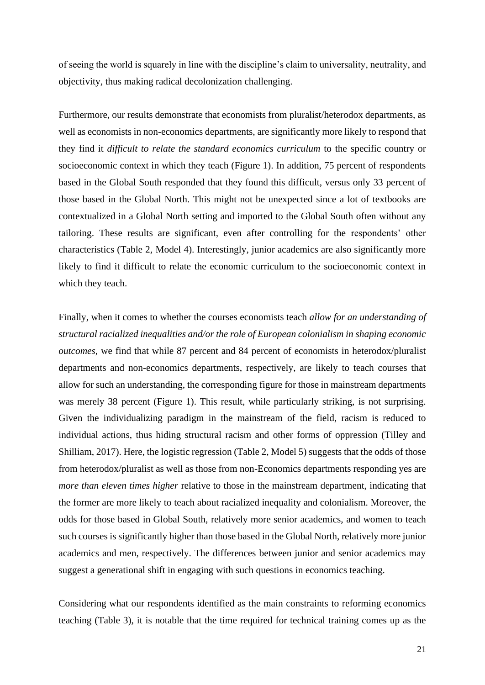of seeing the world is squarely in line with the discipline's claim to universality, neutrality, and objectivity, thus making radical decolonization challenging.

Furthermore, our results demonstrate that economists from pluralist/heterodox departments, as well as economists in non-economics departments, are significantly more likely to respond that they find it *difficult to relate the standard economics curriculum* to the specific country or socioeconomic context in which they teach (Figure 1). In addition, 75 percent of respondents based in the Global South responded that they found this difficult, versus only 33 percent of those based in the Global North. This might not be unexpected since a lot of textbooks are contextualized in a Global North setting and imported to the Global South often without any tailoring. These results are significant, even after controlling for the respondents' other characteristics (Table 2, Model 4). Interestingly, junior academics are also significantly more likely to find it difficult to relate the economic curriculum to the socioeconomic context in which they teach.

Finally, when it comes to whether the courses economists teach *allow for an understanding of structural racialized inequalities and/or the role of European colonialism in shaping economic outcomes*, we find that while 87 percent and 84 percent of economists in heterodox/pluralist departments and non-economics departments, respectively, are likely to teach courses that allow for such an understanding, the corresponding figure for those in mainstream departments was merely 38 percent (Figure 1). This result, while particularly striking, is not surprising. Given the individualizing paradigm in the mainstream of the field, racism is reduced to individual actions, thus hiding structural racism and other forms of oppression (Tilley and Shilliam, 2017). Here, the logistic regression (Table 2, Model 5) suggests that the odds of those from heterodox/pluralist as well as those from non-Economics departments responding yes are *more than eleven times higher* relative to those in the mainstream department, indicating that the former are more likely to teach about racialized inequality and colonialism. Moreover, the odds for those based in Global South, relatively more senior academics, and women to teach such courses is significantly higher than those based in the Global North, relatively more junior academics and men, respectively. The differences between junior and senior academics may suggest a generational shift in engaging with such questions in economics teaching.

Considering what our respondents identified as the main constraints to reforming economics teaching (Table 3), it is notable that the time required for technical training comes up as the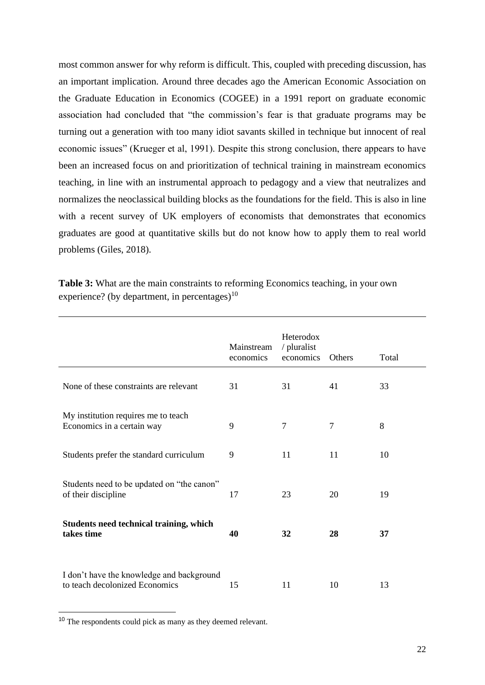most common answer for why reform is difficult. This, coupled with preceding discussion, has an important implication. Around three decades ago the American Economic Association on the Graduate Education in Economics (COGEE) in a 1991 report on graduate economic association had concluded that "the commission's fear is that graduate programs may be turning out a generation with too many idiot savants skilled in technique but innocent of real economic issues" (Krueger et al, 1991). Despite this strong conclusion, there appears to have been an increased focus on and prioritization of technical training in mainstream economics teaching, in line with an instrumental approach to pedagogy and a view that neutralizes and normalizes the neoclassical building blocks as the foundations for the field. This is also in line with a recent survey of UK employers of economists that demonstrates that economics graduates are good at quantitative skills but do not know how to apply them to real world problems (Giles, 2018).

|                                                                             | Mainstream<br>economics | Heterodox<br>/ pluralist<br>economics | Others | Total |
|-----------------------------------------------------------------------------|-------------------------|---------------------------------------|--------|-------|
| None of these constraints are relevant                                      | 31                      | 31                                    | 41     | 33    |
| My institution requires me to teach<br>Economics in a certain way           | 9                       | 7                                     | 7      | 8     |
| Students prefer the standard curriculum                                     | 9                       | 11                                    | 11     | 10    |
| Students need to be updated on "the canon"<br>of their discipline           | 17                      | 23                                    | 20     | 19    |
| Students need technical training, which<br>takes time                       | 40                      | 32                                    | 28     | 37    |
| I don't have the knowledge and background<br>to teach decolonized Economics | 15                      | 11                                    | 10     | 13    |

**Table 3:** What are the main constraints to reforming Economics teaching, in your own experience? (by department, in percentages) $10$ 

<sup>10</sup> The respondents could pick as many as they deemed relevant.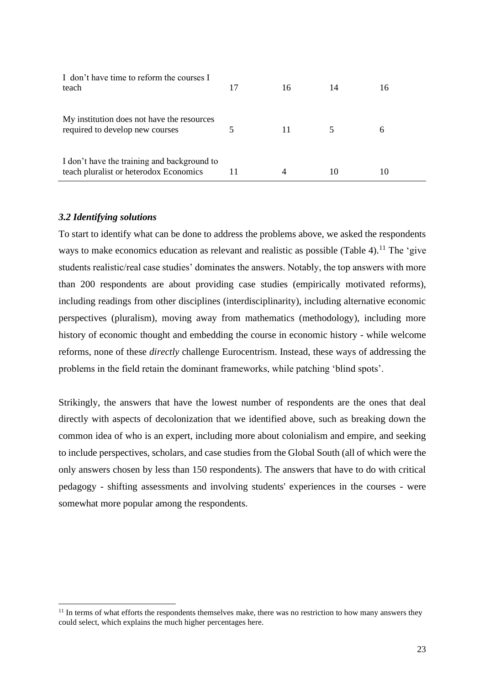| I don't have time to reform the courses I<br>teach                                    | 17 | 16 | 14 | 16 |
|---------------------------------------------------------------------------------------|----|----|----|----|
| My institution does not have the resources<br>required to develop new courses         |    | 11 |    | 6  |
| I don't have the training and background to<br>teach pluralist or heterodox Economics |    | 4  | 10 | 10 |

## *3.2 Identifying solutions*

To start to identify what can be done to address the problems above, we asked the respondents ways to make economics education as relevant and realistic as possible (Table 4).<sup>11</sup> The 'give students realistic/real case studies' dominates the answers. Notably, the top answers with more than 200 respondents are about providing case studies (empirically motivated reforms), including readings from other disciplines (interdisciplinarity), including alternative economic perspectives (pluralism), moving away from mathematics (methodology), including more history of economic thought and embedding the course in economic history - while welcome reforms, none of these *directly* challenge Eurocentrism. Instead, these ways of addressing the problems in the field retain the dominant frameworks, while patching 'blind spots'.

Strikingly, the answers that have the lowest number of respondents are the ones that deal directly with aspects of decolonization that we identified above, such as breaking down the common idea of who is an expert, including more about colonialism and empire, and seeking to include perspectives, scholars, and case studies from the Global South (all of which were the only answers chosen by less than 150 respondents). The answers that have to do with critical pedagogy - shifting assessments and involving students' experiences in the courses - were somewhat more popular among the respondents.

<sup>&</sup>lt;sup>11</sup> In terms of what efforts the respondents themselves make, there was no restriction to how many answers they could select, which explains the much higher percentages here.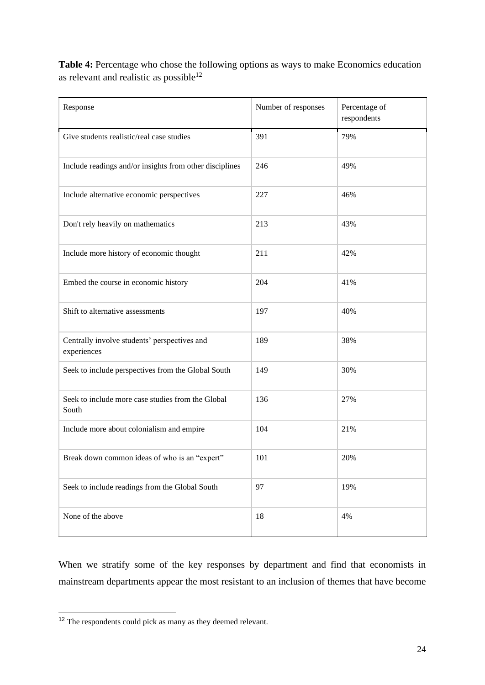**Table 4:** Percentage who chose the following options as ways to make Economics education as relevant and realistic as possible<sup>12</sup>

| Response                                                    | Number of responses | Percentage of<br>respondents |
|-------------------------------------------------------------|---------------------|------------------------------|
| Give students realistic/real case studies                   | 391                 | 79%                          |
| Include readings and/or insights from other disciplines     | 246                 | 49%                          |
| Include alternative economic perspectives                   | 227                 | 46%                          |
| Don't rely heavily on mathematics                           | 213                 | 43%                          |
| Include more history of economic thought                    | 211                 | 42%                          |
| Embed the course in economic history                        | 204                 | 41%                          |
| Shift to alternative assessments                            | 197                 | 40%                          |
| Centrally involve students' perspectives and<br>experiences | 189                 | 38%                          |
| Seek to include perspectives from the Global South          | 149                 | 30%                          |
| Seek to include more case studies from the Global<br>South  | 136                 | 27%                          |
| Include more about colonialism and empire                   | 104                 | 21%                          |
| Break down common ideas of who is an "expert"               | 101                 | 20%                          |
| Seek to include readings from the Global South              | 97                  | 19%                          |
| None of the above                                           | 18                  | 4%                           |

When we stratify some of the key responses by department and find that economists in mainstream departments appear the most resistant to an inclusion of themes that have become

<sup>12</sup> The respondents could pick as many as they deemed relevant.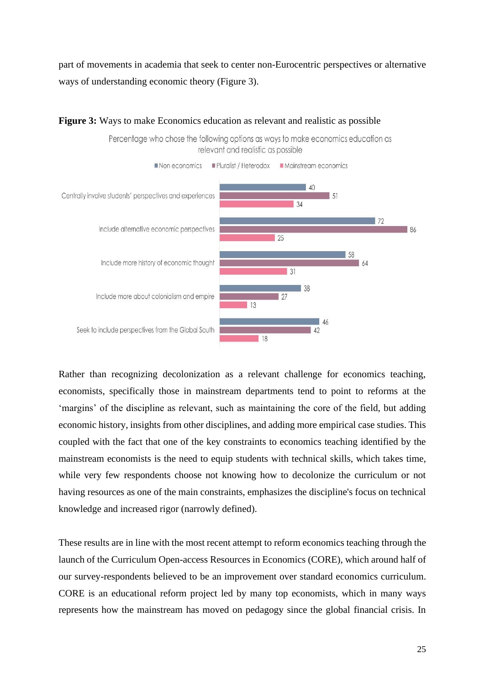part of movements in academia that seek to center non-Eurocentric perspectives or alternative ways of understanding economic theory (Figure 3).

Percentage who chose the following options as ways to make economics education as



## **Figure 3:** Ways to make Economics education as relevant and realistic as possible

Rather than recognizing decolonization as a relevant challenge for economics teaching, economists, specifically those in mainstream departments tend to point to reforms at the 'margins' of the discipline as relevant, such as maintaining the core of the field, but adding economic history, insights from other disciplines, and adding more empirical case studies. This coupled with the fact that one of the key constraints to economics teaching identified by the mainstream economists is the need to equip students with technical skills, which takes time, while very few respondents choose not knowing how to decolonize the curriculum or not having resources as one of the main constraints, emphasizes the discipline's focus on technical knowledge and increased rigor (narrowly defined).

These results are in line with the most recent attempt to reform economics teaching through the launch of the Curriculum Open-access Resources in Economics (CORE), which around half of our survey-respondents believed to be an improvement over standard economics curriculum. CORE is an educational reform project led by many top economists, which in many ways represents how the mainstream has moved on pedagogy since the global financial crisis. In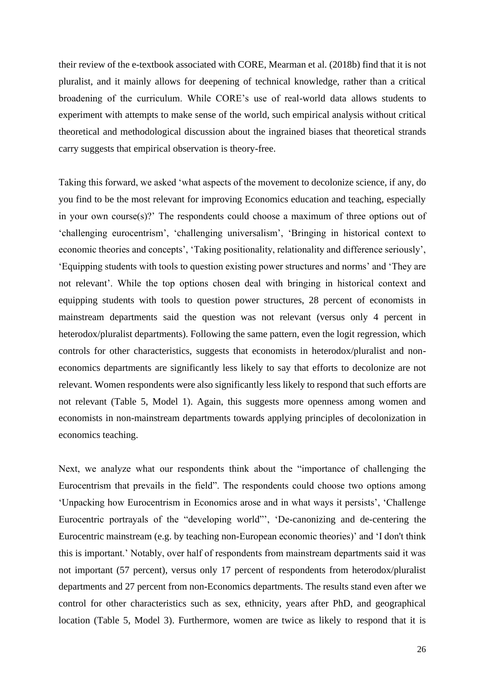their review of the e-textbook associated with CORE, Mearman et al. (2018b) find that it is not pluralist, and it mainly allows for deepening of technical knowledge, rather than a critical broadening of the curriculum. While CORE's use of real-world data allows students to experiment with attempts to make sense of the world, such empirical analysis without critical theoretical and methodological discussion about the ingrained biases that theoretical strands carry suggests that empirical observation is theory-free.

Taking this forward, we asked 'what aspects of the movement to decolonize science, if any, do you find to be the most relevant for improving Economics education and teaching, especially in your own course(s)?' The respondents could choose a maximum of three options out of 'challenging eurocentrism', 'challenging universalism', 'Bringing in historical context to economic theories and concepts', 'Taking positionality, relationality and difference seriously', 'Equipping students with tools to question existing power structures and norms' and 'They are not relevant'. While the top options chosen deal with bringing in historical context and equipping students with tools to question power structures, 28 percent of economists in mainstream departments said the question was not relevant (versus only 4 percent in heterodox/pluralist departments). Following the same pattern, even the logit regression, which controls for other characteristics, suggests that economists in heterodox/pluralist and noneconomics departments are significantly less likely to say that efforts to decolonize are not relevant. Women respondents were also significantly less likely to respond that such efforts are not relevant (Table 5, Model 1). Again, this suggests more openness among women and economists in non-mainstream departments towards applying principles of decolonization in economics teaching.

Next, we analyze what our respondents think about the "importance of challenging the Eurocentrism that prevails in the field". The respondents could choose two options among 'Unpacking how Eurocentrism in Economics arose and in what ways it persists', 'Challenge Eurocentric portrayals of the "developing world"', 'De-canonizing and de-centering the Eurocentric mainstream (e.g. by teaching non-European economic theories)' and 'I don't think this is important.' Notably, over half of respondents from mainstream departments said it was not important (57 percent), versus only 17 percent of respondents from heterodox/pluralist departments and 27 percent from non-Economics departments. The results stand even after we control for other characteristics such as sex, ethnicity, years after PhD, and geographical location (Table 5, Model 3). Furthermore, women are twice as likely to respond that it is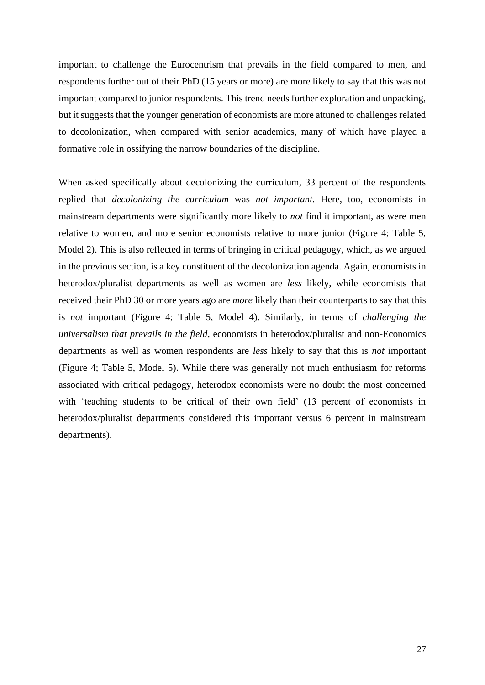important to challenge the Eurocentrism that prevails in the field compared to men, and respondents further out of their PhD (15 years or more) are more likely to say that this was not important compared to junior respondents. This trend needs further exploration and unpacking, but it suggests that the younger generation of economists are more attuned to challenges related to decolonization, when compared with senior academics, many of which have played a formative role in ossifying the narrow boundaries of the discipline.

When asked specifically about decolonizing the curriculum, 33 percent of the respondents replied that *decolonizing the curriculum* was *not important.* Here, too, economists in mainstream departments were significantly more likely to *not* find it important, as were men relative to women, and more senior economists relative to more junior (Figure 4; Table 5, Model 2). This is also reflected in terms of bringing in critical pedagogy, which, as we argued in the previous section, is a key constituent of the decolonization agenda. Again, economists in heterodox/pluralist departments as well as women are *less* likely, while economists that received their PhD 30 or more years ago are *more* likely than their counterparts to say that this is *not* important (Figure 4; Table 5, Model 4). Similarly, in terms of *challenging the universalism that prevails in the field*, economists in heterodox/pluralist and non-Economics departments as well as women respondents are *less* likely to say that this is *not* important (Figure 4; Table 5, Model 5). While there was generally not much enthusiasm for reforms associated with critical pedagogy, heterodox economists were no doubt the most concerned with 'teaching students to be critical of their own field' (13 percent of economists in heterodox/pluralist departments considered this important versus 6 percent in mainstream departments).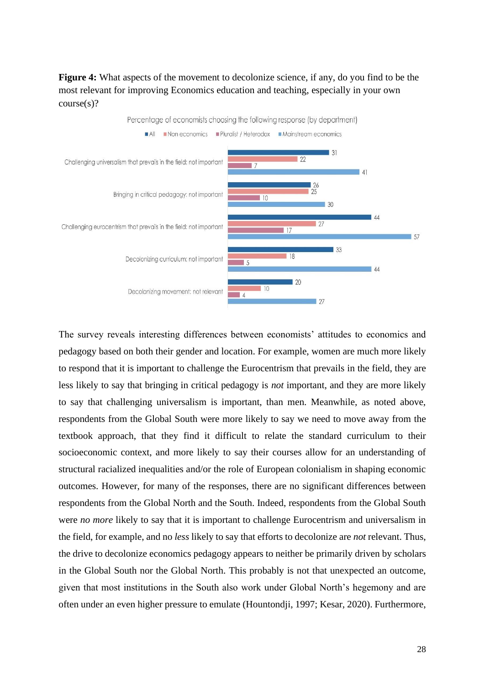**Figure 4:** What aspects of the movement to decolonize science, if any, do you find to be the most relevant for improving Economics education and teaching, especially in your own course(s)?



The survey reveals interesting differences between economists' attitudes to economics and pedagogy based on both their gender and location. For example, women are much more likely to respond that it is important to challenge the Eurocentrism that prevails in the field, they are less likely to say that bringing in critical pedagogy is *not* important, and they are more likely to say that challenging universalism is important, than men. Meanwhile, as noted above, respondents from the Global South were more likely to say we need to move away from the textbook approach, that they find it difficult to relate the standard curriculum to their socioeconomic context, and more likely to say their courses allow for an understanding of structural racialized inequalities and/or the role of European colonialism in shaping economic outcomes. However, for many of the responses, there are no significant differences between respondents from the Global North and the South. Indeed, respondents from the Global South were *no more* likely to say that it is important to challenge Eurocentrism and universalism in the field, for example, and no *less* likely to say that efforts to decolonize are *not* relevant. Thus, the drive to decolonize economics pedagogy appears to neither be primarily driven by scholars in the Global South nor the Global North. This probably is not that unexpected an outcome, given that most institutions in the South also work under Global North's hegemony and are often under an even higher pressure to emulate (Hountondji, 1997; Kesar, 2020). Furthermore,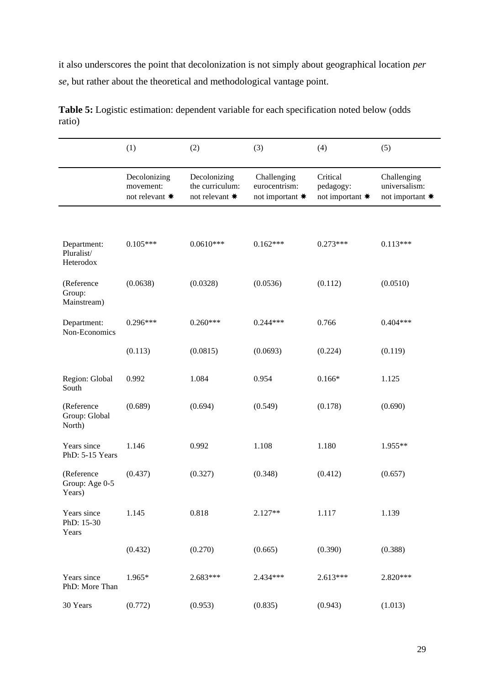it also underscores the point that decolonization is not simply about geographical location *per se*, but rather about the theoretical and methodological vantage point.

|                                        | (1)                                         | (2)                                               | (3)                                             | (4)                                      | (5)                                             |
|----------------------------------------|---------------------------------------------|---------------------------------------------------|-------------------------------------------------|------------------------------------------|-------------------------------------------------|
|                                        | Decolonizing<br>movement:<br>not relevant * | Decolonizing<br>the curriculum:<br>not relevant * | Challenging<br>eurocentrism:<br>not important * | Critical<br>pedagogy:<br>not important * | Challenging<br>universalism:<br>not important * |
|                                        |                                             |                                                   |                                                 |                                          |                                                 |
| Department:<br>Pluralist/<br>Heterodox | $0.105***$                                  | $0.0610***$                                       | $0.162***$                                      | $0.273***$                               | $0.113***$                                      |
| (Reference<br>Group:<br>Mainstream)    | (0.0638)                                    | (0.0328)                                          | (0.0536)                                        | (0.112)                                  | (0.0510)                                        |
| Department:<br>Non-Economics           | $0.296***$                                  | $0.260***$                                        | $0.244***$                                      | 0.766                                    | $0.404***$                                      |
|                                        | (0.113)                                     | (0.0815)                                          | (0.0693)                                        | (0.224)                                  | (0.119)                                         |
| Region: Global<br>South                | 0.992                                       | 1.084                                             | 0.954                                           | $0.166*$                                 | 1.125                                           |
| (Reference<br>Group: Global<br>North)  | (0.689)                                     | (0.694)                                           | (0.549)                                         | (0.178)                                  | (0.690)                                         |
| Years since<br>PhD: 5-15 Years         | 1.146                                       | 0.992                                             | 1.108                                           | 1.180                                    | 1.955**                                         |
| (Reference<br>Group: Age 0-5<br>Years) | (0.437)                                     | (0.327)                                           | (0.348)                                         | (0.412)                                  | (0.657)                                         |
| Years since<br>PhD: 15-30<br>Years     | 1.145                                       | 0.818                                             | $2.127**$                                       | 1.117                                    | 1.139                                           |
|                                        | (0.432)                                     | (0.270)                                           | (0.665)                                         | (0.390)                                  | (0.388)                                         |
| Years since<br>PhD: More Than          | 1.965*                                      | 2.683***                                          | $2.434***$                                      | $2.613***$                               | 2.820***                                        |
| 30 Years                               | (0.772)                                     | (0.953)                                           | (0.835)                                         | (0.943)                                  | (1.013)                                         |

**Table 5:** Logistic estimation: dependent variable for each specification noted below (odds ratio)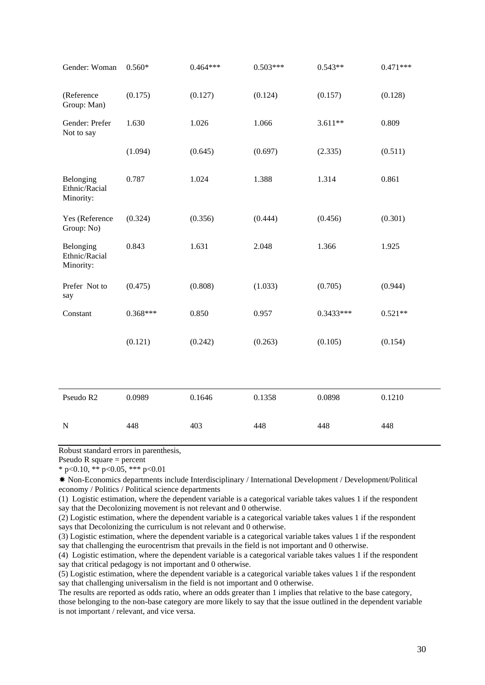| Gender: Woman                           | $0.560*$   | $0.464***$ | $0.503***$ | $0.543**$   | $0.471***$ |
|-----------------------------------------|------------|------------|------------|-------------|------------|
| (Reference<br>Group: Man)               | (0.175)    | (0.127)    | (0.124)    | (0.157)     | (0.128)    |
| Gender: Prefer<br>Not to say            | 1.630      | 1.026      | 1.066      | $3.611**$   | 0.809      |
|                                         | (1.094)    | (0.645)    | (0.697)    | (2.335)     | (0.511)    |
| Belonging<br>Ethnic/Racial<br>Minority: | 0.787      | 1.024      | 1.388      | 1.314       | 0.861      |
| Yes (Reference<br>Group: No)            | (0.324)    | (0.356)    | (0.444)    | (0.456)     | (0.301)    |
| Belonging<br>Ethnic/Racial<br>Minority: | 0.843      | 1.631      | 2.048      | 1.366       | 1.925      |
| Prefer Not to<br>say                    | (0.475)    | (0.808)    | (1.033)    | (0.705)     | (0.944)    |
| Constant                                | $0.368***$ | 0.850      | 0.957      | $0.3433***$ | $0.521**$  |
|                                         | (0.121)    | (0.242)    | (0.263)    | (0.105)     | (0.154)    |
|                                         |            |            |            |             |            |
| Pseudo R2                               | 0.0989     | 0.1646     | 0.1358     | 0.0898      | 0.1210     |
| ${\bf N}$                               | 448        | 403        | 448        | 448         | 448        |

Robust standard errors in parenthesis,

Pseudo R square = percent

\* p<0.10, \*\* p<0.05, \*\*\* p<0.01

✸ Non-Economics departments include Interdisciplinary / International Development / Development/Political economy / Politics / Political science departments

(1) Logistic estimation, where the dependent variable is a categorical variable takes values 1 if the respondent say that the Decolonizing movement is not relevant and 0 otherwise.

(2) Logistic estimation, where the dependent variable is a categorical variable takes values 1 if the respondent says that Decolonizing the curriculum is not relevant and 0 otherwise.

(3) Logistic estimation, where the dependent variable is a categorical variable takes values 1 if the respondent say that challenging the eurocentrism that prevails in the field is not important and 0 otherwise.

(4) Logistic estimation, where the dependent variable is a categorical variable takes values 1 if the respondent say that critical pedagogy is not important and 0 otherwise.

(5) Logistic estimation, where the dependent variable is a categorical variable takes values 1 if the respondent say that challenging universalism in the field is not important and 0 otherwise.

The results are reported as odds ratio, where an odds greater than 1 implies that relative to the base category,

those belonging to the non-base category are more likely to say that the issue outlined in the dependent variable is not important / relevant, and vice versa.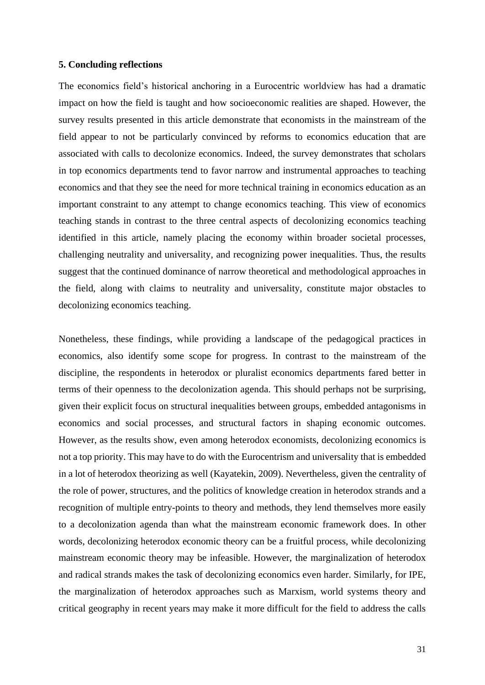## **5. Concluding reflections**

The economics field's historical anchoring in a Eurocentric worldview has had a dramatic impact on how the field is taught and how socioeconomic realities are shaped. However, the survey results presented in this article demonstrate that economists in the mainstream of the field appear to not be particularly convinced by reforms to economics education that are associated with calls to decolonize economics. Indeed, the survey demonstrates that scholars in top economics departments tend to favor narrow and instrumental approaches to teaching economics and that they see the need for more technical training in economics education as an important constraint to any attempt to change economics teaching. This view of economics teaching stands in contrast to the three central aspects of decolonizing economics teaching identified in this article, namely placing the economy within broader societal processes, challenging neutrality and universality, and recognizing power inequalities. Thus, the results suggest that the continued dominance of narrow theoretical and methodological approaches in the field, along with claims to neutrality and universality, constitute major obstacles to decolonizing economics teaching.

Nonetheless, these findings, while providing a landscape of the pedagogical practices in economics, also identify some scope for progress. In contrast to the mainstream of the discipline, the respondents in heterodox or pluralist economics departments fared better in terms of their openness to the decolonization agenda. This should perhaps not be surprising, given their explicit focus on structural inequalities between groups, embedded antagonisms in economics and social processes, and structural factors in shaping economic outcomes. However, as the results show, even among heterodox economists, decolonizing economics is not a top priority. This may have to do with the Eurocentrism and universality that is embedded in a lot of heterodox theorizing as well (Kayatekin, 2009). Nevertheless, given the centrality of the role of power, structures, and the politics of knowledge creation in heterodox strands and a recognition of multiple entry-points to theory and methods, they lend themselves more easily to a decolonization agenda than what the mainstream economic framework does. In other words, decolonizing heterodox economic theory can be a fruitful process, while decolonizing mainstream economic theory may be infeasible. However, the marginalization of heterodox and radical strands makes the task of decolonizing economics even harder. Similarly, for IPE, the marginalization of heterodox approaches such as Marxism, world systems theory and critical geography in recent years may make it more difficult for the field to address the calls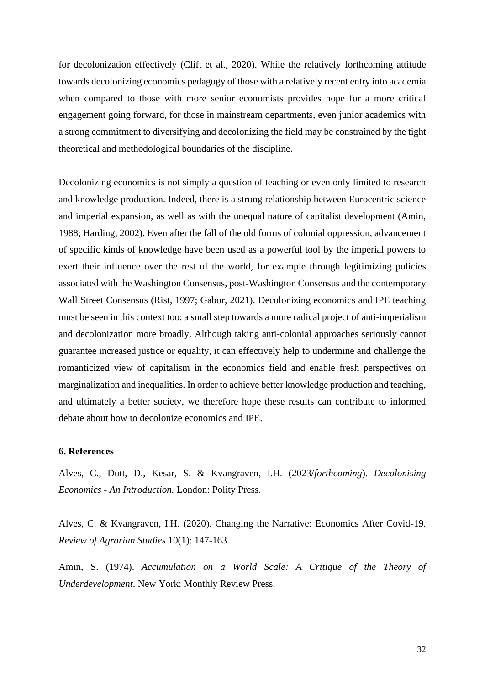for decolonization effectively (Clift et al., 2020). While the relatively forthcoming attitude towards decolonizing economics pedagogy of those with a relatively recent entry into academia when compared to those with more senior economists provides hope for a more critical engagement going forward, for those in mainstream departments, even junior academics with a strong commitment to diversifying and decolonizing the field may be constrained by the tight theoretical and methodological boundaries of the discipline.

Decolonizing economics is not simply a question of teaching or even only limited to research and knowledge production. Indeed, there is a strong relationship between Eurocentric science and imperial expansion, as well as with the unequal nature of capitalist development (Amin, 1988; Harding, 2002). Even after the fall of the old forms of colonial oppression, advancement of specific kinds of knowledge have been used as a powerful tool by the imperial powers to exert their influence over the rest of the world, for example through legitimizing policies associated with the Washington Consensus, post-Washington Consensus and the contemporary Wall Street Consensus (Rist, 1997; Gabor, 2021). Decolonizing economics and IPE teaching must be seen in this context too: a small step towards a more radical project of anti-imperialism and decolonization more broadly. Although taking anti-colonial approaches seriously cannot guarantee increased justice or equality, it can effectively help to undermine and challenge the romanticized view of capitalism in the economics field and enable fresh perspectives on marginalization and inequalities. In order to achieve better knowledge production and teaching, and ultimately a better society, we therefore hope these results can contribute to informed debate about how to decolonize economics and IPE.

#### **6. References**

Alves, C., Dutt, D., Kesar, S. & Kvangraven, I.H. (2023/*forthcoming*). *Decolonising Economics - An Introduction.* London: Polity Press.

Alves, C. & Kvangraven, I.H. (2020). Changing the Narrative: Economics After Covid-19. *Review of Agrarian Studies* 10(1): 147-163.

Amin, S. (1974). *Accumulation on a World Scale: A Critique of the Theory of Underdevelopment*. New York: Monthly Review Press.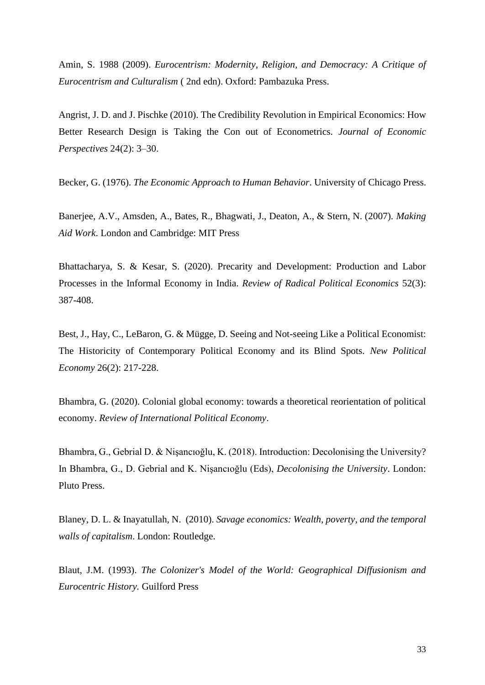Amin, S. 1988 (2009). *Eurocentrism: Modernity, Religion, and Democracy: A Critique of Eurocentrism and Culturalism* ( 2nd edn). Oxford: Pambazuka Press.

Angrist, J. D. and J. Pischke (2010). The Credibility Revolution in Empirical Economics: How Better Research Design is Taking the Con out of Econometrics. *Journal of Economic Perspectives* 24(2): 3–30.

Becker, G. (1976). *The Economic Approach to Human Behavior*. University of Chicago Press.

Banerjee, A.V., Amsden, A., Bates, R., Bhagwati, J., Deaton, A., & Stern, N. (2007). *Making Aid Work*. London and Cambridge: MIT Press

Bhattacharya, S. & Kesar, S. (2020). Precarity and Development: Production and Labor Processes in the Informal Economy in India. *Review of Radical Political Economics* 52(3): 387-408.

Best, J., Hay, C., LeBaron, G. & Mügge, D. Seeing and Not-seeing Like a Political Economist: The Historicity of Contemporary Political Economy and its Blind Spots. *New Political Economy* 26(2): 217-228.

Bhambra, G. (2020). Colonial global economy: towards a theoretical reorientation of political economy. *Review of International Political Economy*.

Bhambra, G., Gebrial D. & Nişancıoğlu, K. (2018). Introduction: Decolonising the University? In Bhambra, G., D. Gebrial and K. Nişancıoğlu (Eds), *Decolonising the University*. London: Pluto Press.

Blaney, D. L. & Inayatullah, N. (2010). *Savage economics: Wealth, poverty, and the temporal walls of capitalism*. London: Routledge.

Blaut, J.M. (1993). *The Colonizer's Model of the World: Geographical Diffusionism and Eurocentric History.* Guilford Press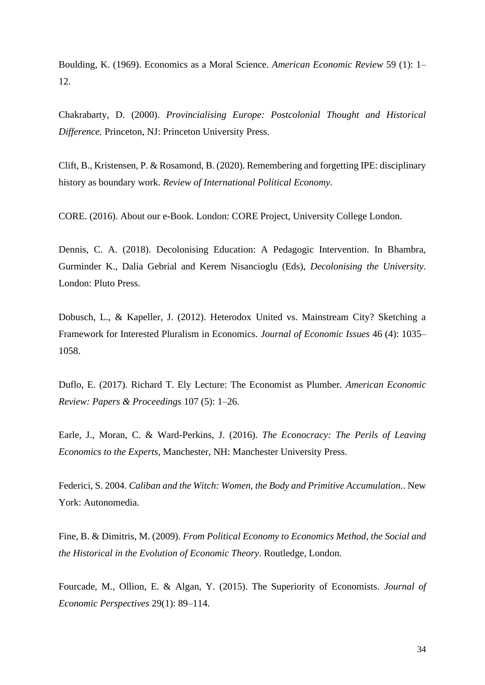Boulding, K. (1969). Economics as a Moral Science. *American Economic Review* 59 (1): 1– 12.

Chakrabarty, D. (2000). *Provincialising Europe: Postcolonial Thought and Historical Difference.* Princeton, NJ: Princeton University Press.

Clift, B., Kristensen, P. & Rosamond, B. (2020). Remembering and forgetting IPE: disciplinary history as boundary work. *Review of International Political Economy*.

CORE. (2016). About our e-Book. London: CORE Project, University College London.

Dennis, C. A. (2018). Decolonising Education: A Pedagogic Intervention. In Bhambra, Gurminder K., Dalia Gebrial and Kerem Nisancioglu (Eds), *Decolonising the University*. London: Pluto Press.

Dobusch, L., & Kapeller, J. (2012). Heterodox United vs. Mainstream City? Sketching a Framework for Interested Pluralism in Economics. *Journal of Economic Issues* 46 (4): 1035– 1058.

Duflo, E. (2017). Richard T. Ely Lecture: The Economist as Plumber. *American Economic Review: Papers & Proceedings* 107 (5): 1–26.

Earle, J., Moran, C. & Ward-Perkins, J. (2016). *The Econocracy: The Perils of Leaving Economics to the Experts*, Manchester, NH: Manchester University Press.

Federici, S. 2004. *Caliban and the Witch: Women, the Body and Primitive Accumulation.*. New York: Autonomedia.

Fine, B. & Dimitris, M. (2009). *From Political Economy to Economics Method, the Social and the Historical in the Evolution of Economic Theory*. Routledge, London.

Fourcade, M., Ollion, E. & Algan, Y. (2015). The Superiority of Economists. *Journal of Economic Perspectives* 29(1): 89–114.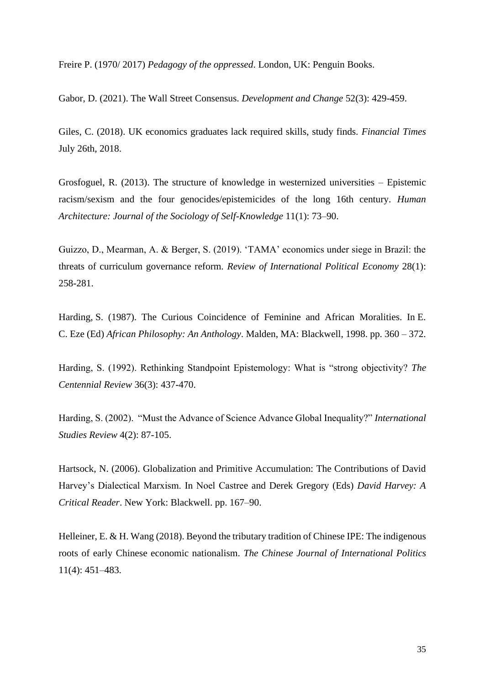Freire P. (1970/ 2017) *Pedagogy of the oppressed*. London, UK: Penguin Books.

Gabor, D. (2021). The Wall Street Consensus. *Development and Change* 52(3): 429-459.

Giles, C. (2018). UK economics graduates lack required skills, study finds. *Financial Times* July 26th, 2018.

Grosfoguel, R. (2013). The structure of knowledge in westernized universities – Epistemic racism/sexism and the four genocides/epistemicides of the long 16th century. *Human Architecture: Journal of the Sociology of Self-Knowledge* 11(1): 73–90.

Guizzo, D., Mearman, A. & Berger, S. (2019). 'TAMA' economics under siege in Brazil: the threats of curriculum governance reform. *Review of International Political Economy* 28(1): 258-281.

Harding, S. (1987). The Curious Coincidence of Feminine and African Moralities. In E. C. Eze (Ed) *African Philosophy: An Anthology*. Malden, MA: Blackwell, 1998. pp. 360 – 372.

Harding, S. (1992). Rethinking Standpoint Epistemology: What is "strong objectivity? *The Centennial Review* 36(3): 437-470.

Harding, S. (2002). "Must the Advance of Science Advance Global Inequality?" *International Studies Review* 4(2): 87-105.

Hartsock, N. (2006). Globalization and Primitive Accumulation: The Contributions of David Harvey's Dialectical Marxism. In Noel Castree and Derek Gregory (Eds) *David Harvey: A Critical Reader*. New York: Blackwell. pp. 167–90.

Helleiner, E. & H. Wang (2018). Beyond the tributary tradition of Chinese IPE: The indigenous roots of early Chinese economic nationalism. *The Chinese Journal of International Politics* 11(4): 451–483.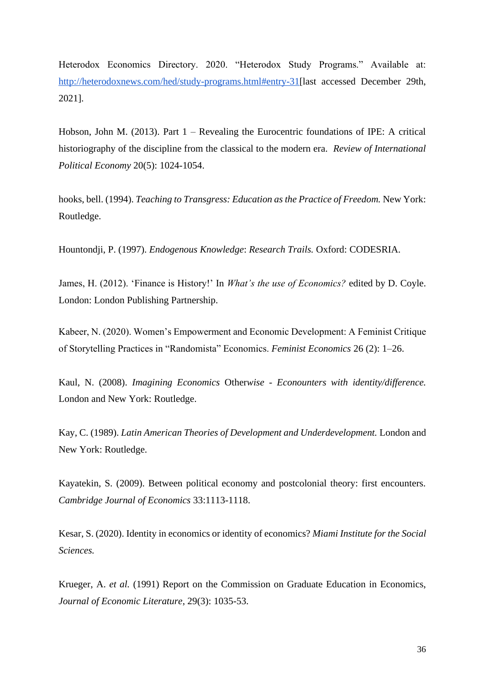Heterodox Economics Directory. 2020. "Heterodox Study Programs." Available at: [http://heterodoxnews.com/hed/study-programs.html#entry-31\[](http://heterodoxnews.com/hed/study-programs.html#entry-31)last accessed December 29th, 2021].

Hobson, John M. (2013). Part 1 – Revealing the Eurocentric foundations of IPE: A critical historiography of the discipline from the classical to the modern era. *Review of International Political Economy* 20(5): 1024-1054.

hooks, bell. (1994). *Teaching to Transgress: Education as the Practice of Freedom.* New York: Routledge.

Hountondji, P. (1997). *Endogenous Knowledge*: *Research Trails.* Oxford: CODESRIA.

James, H. (2012). 'Finance is History!' In *What's the use of Economics?* edited by D. Coyle. London: London Publishing Partnership.

Kabeer, N. (2020). Women's Empowerment and Economic Development: A Feminist Critique of Storytelling Practices in "Randomista" Economics. *Feminist Economics* 26 (2): 1–26.

Kaul, N. (2008). *Imagining Economics* Other*wise - Econounters with identity/difference.*  London and New York: Routledge.

Kay, C. (1989). *Latin American Theories of Development and Underdevelopment.* London and New York: Routledge.

Kayatekin, S. (2009). Between political economy and postcolonial theory: first encounters. *Cambridge Journal of Economics* 33:1113-1118.

Kesar, S. (2020). Identity in economics or identity of economics? *Miami Institute for the Social Sciences.*

Krueger, A. *et al.* (1991) Report on the Commission on Graduate Education in Economics, *Journal of Economic Literature*, 29(3): 1035-53.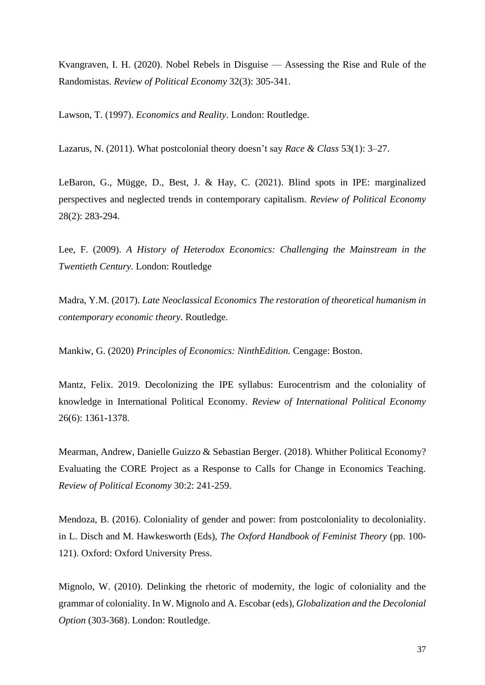Kvangraven, I. H. (2020). Nobel Rebels in Disguise — Assessing the Rise and Rule of the Randomistas. *Review of Political Economy* 32(3): 305-341.

Lawson, T. (1997). *Economics and Reality*. London: Routledge.

Lazarus, N. (2011). What postcolonial theory doesn't say *Race & Class* 53(1): 3–27.

LeBaron, G., Mügge, D., Best, J. & Hay, C. (2021). Blind spots in IPE: marginalized perspectives and neglected trends in contemporary capitalism. *Review of Political Economy* 28(2): 283-294.

Lee, F. (2009). *A History of Heterodox Economics: Challenging the Mainstream in the Twentieth Century.* London: Routledge

Madra, Y.M. (2017). *Late Neoclassical Economics The restoration of theoretical humanism in contemporary economic theory.* Routledge.

Mankiw, G. (2020) *Principles of Economics: NinthEdition.* Cengage: Boston.

Mantz, Felix. 2019. Decolonizing the IPE syllabus: Eurocentrism and the coloniality of knowledge in International Political Economy. *Review of International Political Economy*  26(6): 1361-1378.

Mearman, Andrew, Danielle Guizzo & Sebastian Berger. (2018). Whither Political Economy? Evaluating the CORE Project as a Response to Calls for Change in Economics Teaching. *Review of Political Economy* 30:2: 241-259.

Mendoza, B. (2016). Coloniality of gender and power: from postcoloniality to decoloniality. in L. Disch and M. Hawkesworth (Eds), *The Oxford Handbook of Feminist Theory* (pp. 100- 121). Oxford: Oxford University Press.

Mignolo, W. (2010). Delinking the rhetoric of modernity, the logic of coloniality and the grammar of coloniality. In W. Mignolo and A. Escobar (eds), *Globalization and the Decolonial Option* (303-368). London: Routledge.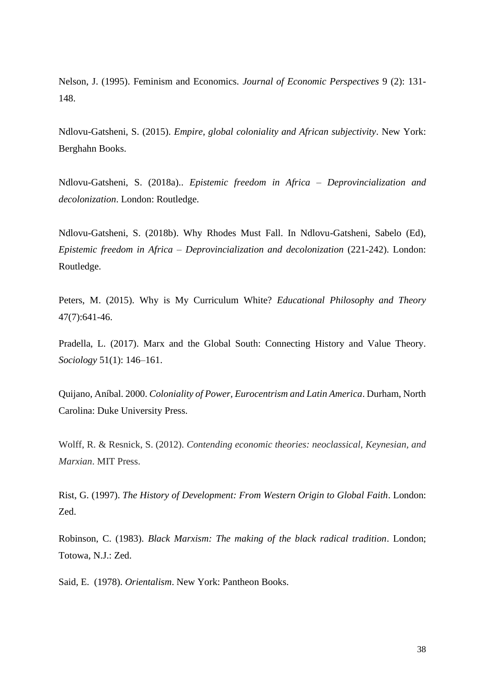Nelson, J. (1995). Feminism and Economics. *Journal of Economic Perspectives* 9 (2): 131- 148.

Ndlovu-Gatsheni, S. (2015). *Empire, global coloniality and African subjectivity*. New York: Berghahn Books.

Ndlovu-Gatsheni, S. (2018a).. *Epistemic freedom in Africa – Deprovincialization and decolonization*. London: Routledge.

Ndlovu-Gatsheni, S. (2018b). Why Rhodes Must Fall. In Ndlovu-Gatsheni, Sabelo (Ed), *Epistemic freedom in Africa – Deprovincialization and decolonization* (221-242). London: Routledge.

Peters, M. (2015). Why is My Curriculum White? *Educational Philosophy and Theory* 47(7):641-46.

Pradella, L. (2017). Marx and the Global South: Connecting History and Value Theory. *Sociology* 51(1): 146–161.

Quijano, Aníbal. 2000. *Coloniality of Power, Eurocentrism and Latin America*. Durham, North Carolina: Duke University Press.

Wolff, R. & Resnick, S. (2012). *Contending economic theories: neoclassical, Keynesian, and Marxian*. MIT Press.

Rist, G. (1997). *The History of Development: From Western Origin to Global Faith*. London: Zed.

Robinson, C. (1983). *Black Marxism: The making of the black radical tradition*. London; Totowa, N.J.: Zed.

Said, E. (1978). *Orientalism*. New York: Pantheon Books.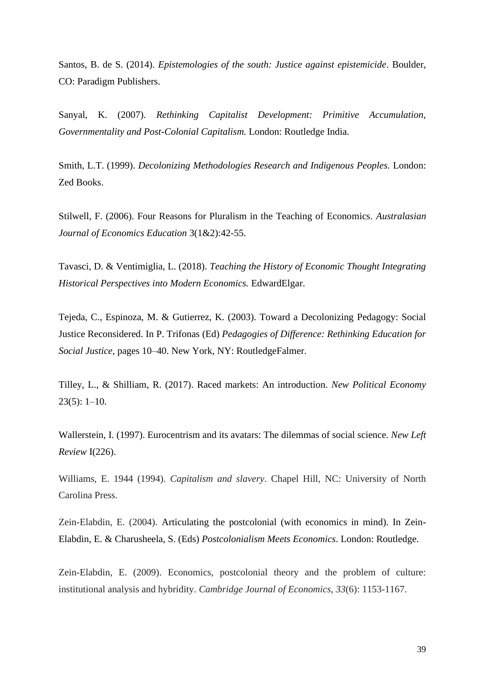Santos, B. de S. (2014). *Epistemologies of the south: Justice against epistemicide*. Boulder, CO: Paradigm Publishers.

Sanyal, K. (2007). *Rethinking Capitalist Development: Primitive Accumulation, Governmentality and Post-Colonial Capitalism.* London: Routledge India.

Smith, L.T. (1999). *Decolonizing Methodologies Research and Indigenous Peoples.* London: Zed Books.

Stilwell, F. (2006). Four Reasons for Pluralism in the Teaching of Economics. *Australasian Journal of Economics Education* 3(1&2):42-55.

Tavasci, D. & Ventimiglia, L. (2018). *Teaching the History of Economic Thought Integrating Historical Perspectives into Modern Economics.* EdwardElgar.

Tejeda, C., Espinoza, M. & Gutierrez, K. (2003). Toward a Decolonizing Pedagogy: Social Justice Reconsidered. In P. Trifonas (Ed) *Pedagogies of Difference: Rethinking Education for Social Justice*, pages 10–40. New York, NY: RoutledgeFalmer.

Tilley, L., & Shilliam, R. (2017). Raced markets: An introduction. *New Political Economy* 23(5): 1–10.

Wallerstein, I. (1997). Eurocentrism and its avatars: The dilemmas of social science. *New Left Review* I(226).

Williams, E. 1944 (1994). *Capitalism and slavery*. Chapel Hill, NC: University of North Carolina Press.

Zein-Elabdin, E. (2004). Articulating the postcolonial (with economics in mind). In Zein-Elabdin, E. & Charusheela, S. (Eds) *Postcolonialism Meets Economics*. London: Routledge.

Zein-Elabdin, E. (2009). Economics, postcolonial theory and the problem of culture: institutional analysis and hybridity. *Cambridge Journal of Economics*, *33*(6): 1153-1167.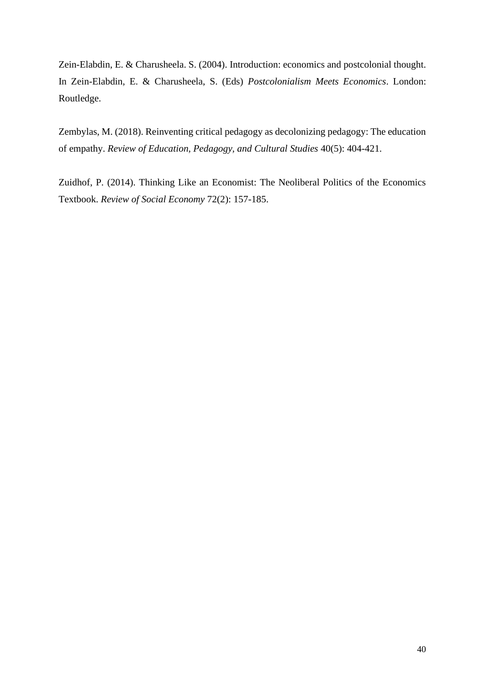Zein-Elabdin, E. & Charusheela. S. (2004). Introduction: economics and postcolonial thought. In Zein-Elabdin, E. & Charusheela, S. (Eds) *Postcolonialism Meets Economics*. London: Routledge.

Zembylas, M. (2018). Reinventing critical pedagogy as decolonizing pedagogy: The education of empathy. *Review of Education, Pedagogy, and Cultural Studies* 40(5): 404-421.

Zuidhof, P. (2014). Thinking Like an Economist: The Neoliberal Politics of the Economics Textbook. *Review of Social Economy* 72(2): 157-185.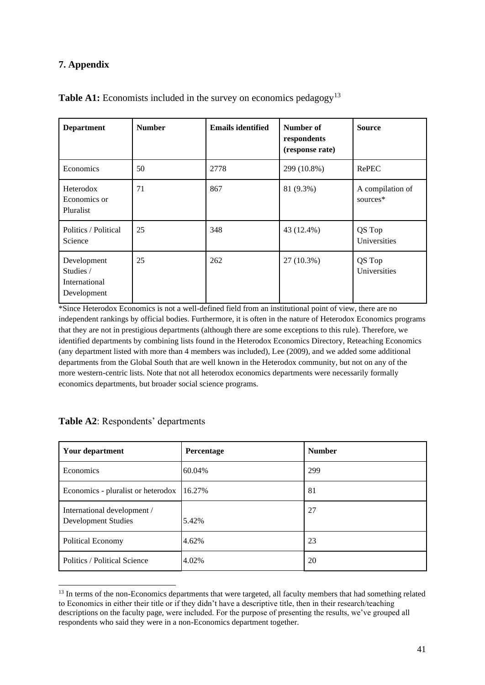## **7. Appendix**

| <b>Department</b>                                        | <b>Number</b> | <b>Emails identified</b> | Number of<br>respondents<br>(response rate) | <b>Source</b>                |
|----------------------------------------------------------|---------------|--------------------------|---------------------------------------------|------------------------------|
| Economics                                                | 50            | 2778                     | 299 (10.8%)                                 | RePEC                        |
| Heterodox<br>Economics or<br>Pluralist                   | 71            | 867                      | 81 (9.3%)                                   | A compilation of<br>sources* |
| Politics / Political<br>Science                          | 25            | 348                      | 43 (12.4%)                                  | QS Top<br>Universities       |
| Development<br>Studies /<br>International<br>Development | 25            | 262                      | $27(10.3\%)$                                | QS Top<br>Universities       |

## **Table A1:** Economists included in the survey on economics pedagogy<sup>13</sup>

\*Since Heterodox Economics is not a well-defined field from an institutional point of view, there are no independent rankings by official bodies. Furthermore, it is often in the nature of Heterodox Economics programs that they are not in prestigious departments (although there are some exceptions to this rule). Therefore, we identified departments by combining lists found in the Heterodox Economics Directory, Reteaching Economics (any department listed with more than 4 members was included), Lee (2009), and we added some additional departments from the Global South that are well known in the Heterodox community, but not on any of the more western-centric lists. Note that not all heterodox economics departments were necessarily formally economics departments, but broader social science programs.

| Your department                                           | Percentage | <b>Number</b> |
|-----------------------------------------------------------|------------|---------------|
| Economics                                                 | 60.04%     | 299           |
| Economics - pluralist or heterodox                        | 16.27%     | 81            |
| International development /<br><b>Development Studies</b> | 5.42%      | 27            |
| Political Economy                                         | 4.62%      | 23            |
| Politics / Political Science                              | 4.02%      | 20            |

## **Table A2**: Respondents' departments

<sup>&</sup>lt;sup>13</sup> In terms of the non-Economics departments that were targeted, all faculty members that had something related to Economics in either their title or if they didn't have a descriptive title, then in their research/teaching descriptions on the faculty page, were included. For the purpose of presenting the results, we've grouped all respondents who said they were in a non-Economics department together.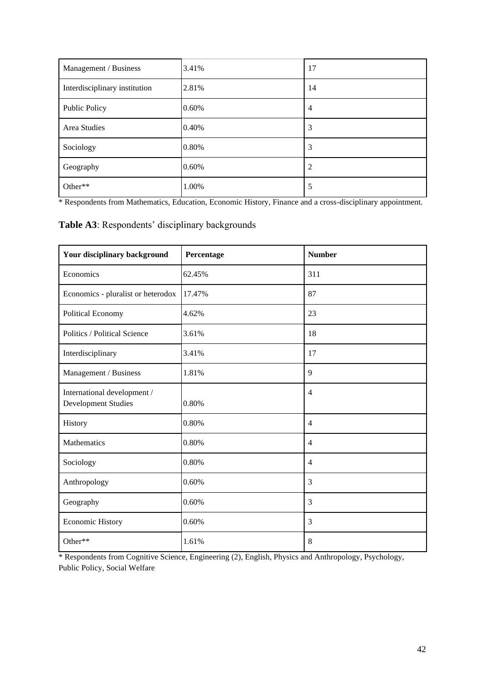| Management / Business         | 3.41% | 17             |
|-------------------------------|-------|----------------|
| Interdisciplinary institution | 2.81% | 14             |
| <b>Public Policy</b>          | 0.60% | $\overline{4}$ |
| Area Studies                  | 0.40% | 3              |
| Sociology                     | 0.80% | 3              |
| Geography                     | 0.60% | 2              |
| Other**                       | 1.00% | 5              |

\* Respondents from Mathematics, Education, Economic History, Finance and a cross-disciplinary appointment.

**Table A3**: Respondents' disciplinary backgrounds

| Your disciplinary background                       | Percentage | <b>Number</b>  |
|----------------------------------------------------|------------|----------------|
| Economics                                          | 62.45%     | 311            |
| Economics - pluralist or heterodox                 | 17.47%     | 87             |
| Political Economy                                  | 4.62%      | 23             |
| Politics / Political Science                       | 3.61%      | 18             |
| Interdisciplinary                                  | 3.41%      | 17             |
| Management / Business                              | 1.81%      | 9              |
| International development /<br>Development Studies | 0.80%      | $\overline{4}$ |
| History                                            | 0.80%      | $\overline{4}$ |
| Mathematics                                        | 0.80%      | $\overline{4}$ |
| Sociology                                          | 0.80%      | $\overline{4}$ |
| Anthropology                                       | 0.60%      | 3              |
| Geography                                          | 0.60%      | 3              |
| <b>Economic History</b>                            | 0.60%      | 3              |
| Other**                                            | 1.61%      | 8              |

\* Respondents from Cognitive Science, Engineering (2), English, Physics and Anthropology, Psychology, Public Policy, Social Welfare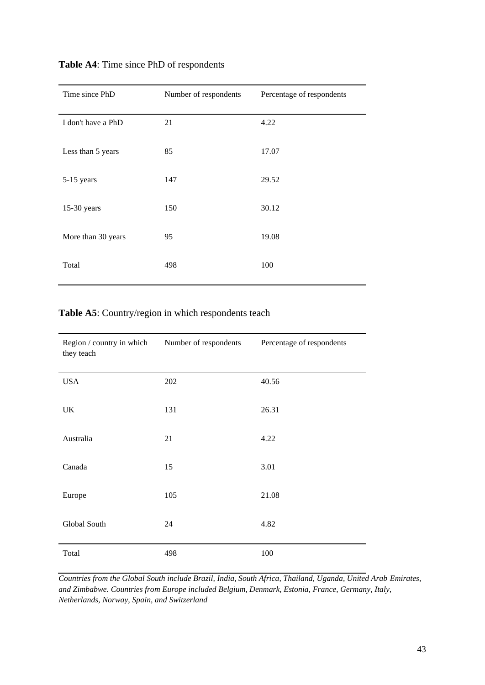| Time since PhD     | Number of respondents | Percentage of respondents |
|--------------------|-----------------------|---------------------------|
| I don't have a PhD | 21                    | 4.22                      |
| Less than 5 years  | 85                    | 17.07                     |
| 5-15 years         | 147                   | 29.52                     |
| $15-30$ years      | 150                   | 30.12                     |
| More than 30 years | 95                    | 19.08                     |
| Total              | 498                   | 100                       |

## **Table A4**: Time since PhD of respondents

**Table A5**: Country/region in which respondents teach

| Region / country in which<br>they teach | Number of respondents | Percentage of respondents |
|-----------------------------------------|-----------------------|---------------------------|
| <b>USA</b>                              | 202                   | 40.56                     |
| UK                                      | 131                   | 26.31                     |
| Australia                               | 21                    | 4.22                      |
| Canada                                  | 15                    | 3.01                      |
| Europe                                  | 105                   | 21.08                     |
| Global South                            | 24                    | 4.82                      |
| Total                                   | 498                   | 100                       |

*Countries from the Global South include Brazil, India, South Africa, Thailand, Uganda, United Arab Emirates, and Zimbabwe. Countries from Europe included Belgium, Denmark, Estonia, France, Germany, Italy, Netherlands, Norway, Spain, and Switzerland*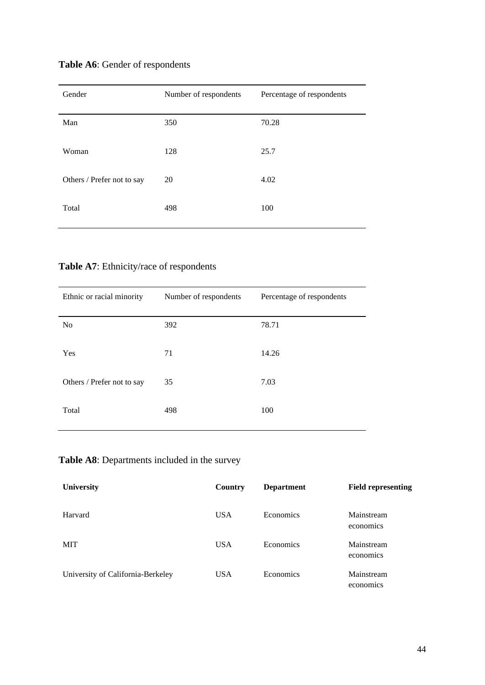| Gender                     | Number of respondents | Percentage of respondents |
|----------------------------|-----------------------|---------------------------|
| Man                        | 350                   | 70.28                     |
| Woman                      | 128                   | 25.7                      |
| Others / Prefer not to say | 20                    | 4.02                      |
| Total                      | 498                   | 100                       |

## **Table A6**: Gender of respondents

**Table A7**: Ethnicity/race of respondents

| Ethnic or racial minority  | Number of respondents | Percentage of respondents |
|----------------------------|-----------------------|---------------------------|
| N <sub>0</sub>             | 392                   | 78.71                     |
| Yes                        | 71                    | 14.26                     |
| Others / Prefer not to say | 35                    | 7.03                      |
| Total                      | 498                   | 100                       |

## **Table A8**: Departments included in the survey

| <b>University</b>                 | Country    | <b>Department</b> | <b>Field representing</b> |
|-----------------------------------|------------|-------------------|---------------------------|
| Harvard                           | <b>USA</b> | Economics         | Mainstream<br>economics   |
| MIT                               | <b>USA</b> | Economics         | Mainstream<br>economics   |
| University of California-Berkeley | <b>USA</b> | Economics         | Mainstream<br>economics   |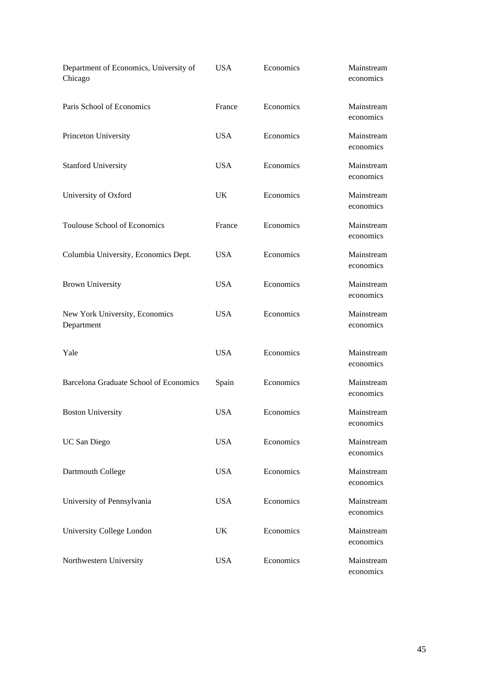| Department of Economics, University of<br>Chicago | <b>USA</b> | Economics | Mainstream<br>economics |
|---------------------------------------------------|------------|-----------|-------------------------|
| Paris School of Economics                         | France     | Economics | Mainstream<br>economics |
| Princeton University                              | <b>USA</b> | Economics | Mainstream<br>economics |
| <b>Stanford University</b>                        | <b>USA</b> | Economics | Mainstream<br>economics |
| University of Oxford                              | UK.        | Economics | Mainstream<br>economics |
| Toulouse School of Economics                      | France     | Economics | Mainstream<br>economics |
| Columbia University, Economics Dept.              | USA.       | Economics | Mainstream<br>economics |
| <b>Brown University</b>                           | <b>USA</b> | Economics | Mainstream<br>economics |
| New York University, Economics<br>Department      | <b>USA</b> | Economics | Mainstream<br>economics |
| Yale                                              | <b>USA</b> | Economics | Mainstream<br>economics |
| Barcelona Graduate School of Economics            | Spain      | Economics | Mainstream<br>economics |
| <b>Boston University</b>                          | <b>USA</b> | Economics | Mainstream<br>economics |
| UC San Diego                                      | <b>USA</b> | Economics | Mainstream<br>economics |
| Dartmouth College                                 | <b>USA</b> | Economics | Mainstream<br>economics |
| University of Pennsylvania                        | <b>USA</b> | Economics | Mainstream<br>economics |
| University College London                         | UK         | Economics | Mainstream<br>economics |
| Northwestern University                           | <b>USA</b> | Economics | Mainstream<br>economics |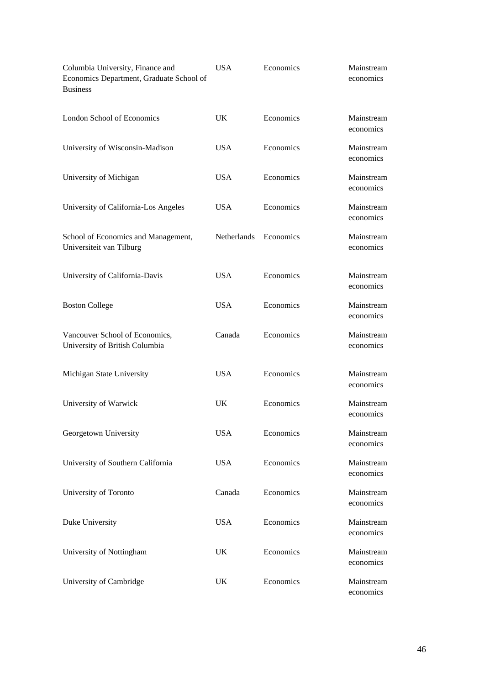| Columbia University, Finance and<br>Economics Department, Graduate School of<br><b>Business</b> | <b>USA</b>         | Economics | Mainstream<br>economics |
|-------------------------------------------------------------------------------------------------|--------------------|-----------|-------------------------|
| <b>London School of Economics</b>                                                               | UK                 | Economics | Mainstream<br>economics |
| University of Wisconsin-Madison                                                                 | <b>USA</b>         | Economics | Mainstream<br>economics |
| University of Michigan                                                                          | <b>USA</b>         | Economics | Mainstream<br>economics |
| University of California-Los Angeles                                                            | <b>USA</b>         | Economics | Mainstream<br>economics |
| School of Economics and Management,<br>Universiteit van Tilburg                                 | <b>Netherlands</b> | Economics | Mainstream<br>economics |
| University of California-Davis                                                                  | <b>USA</b>         | Economics | Mainstream<br>economics |
| <b>Boston College</b>                                                                           | <b>USA</b>         | Economics | Mainstream<br>economics |
| Vancouver School of Economics,<br>University of British Columbia                                | Canada             | Economics | Mainstream<br>economics |
| Michigan State University                                                                       | <b>USA</b>         | Economics | Mainstream<br>economics |
| University of Warwick                                                                           | <b>UK</b>          | Economics | Mainstream<br>economics |
| Georgetown University                                                                           | <b>USA</b>         | Economics | Mainstream<br>economics |
| University of Southern California                                                               | <b>USA</b>         | Economics | Mainstream<br>economics |
| University of Toronto                                                                           | Canada             | Economics | Mainstream<br>economics |
| Duke University                                                                                 | <b>USA</b>         | Economics | Mainstream<br>economics |
| University of Nottingham                                                                        | UK                 | Economics | Mainstream<br>economics |
| University of Cambridge                                                                         | UK                 | Economics | Mainstream<br>economics |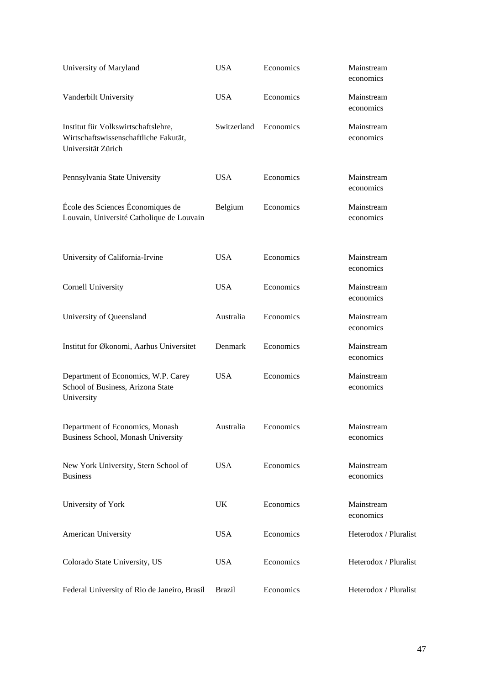| University of Maryland                                                                             | <b>USA</b>    | Economics | Mainstream<br>economics |
|----------------------------------------------------------------------------------------------------|---------------|-----------|-------------------------|
| Vanderbilt University                                                                              | <b>USA</b>    | Economics | Mainstream<br>economics |
| Institut für Volkswirtschaftslehre,<br>Wirtschaftswissenschaftliche Fakutät,<br>Universität Zürich | Switzerland   | Economics | Mainstream<br>economics |
| Pennsylvania State University                                                                      | <b>USA</b>    | Economics | Mainstream<br>economics |
| École des Sciences Économiques de<br>Louvain, Université Catholique de Louvain                     | Belgium       | Economics | Mainstream<br>economics |
| University of California-Irvine                                                                    | <b>USA</b>    | Economics | Mainstream<br>economics |
| <b>Cornell University</b>                                                                          | <b>USA</b>    | Economics | Mainstream<br>economics |
| University of Queensland                                                                           | Australia     | Economics | Mainstream<br>economics |
| Institut for Økonomi, Aarhus Universitet                                                           | Denmark       | Economics | Mainstream<br>economics |
| Department of Economics, W.P. Carey<br>School of Business, Arizona State<br>University             | <b>USA</b>    | Economics | Mainstream<br>economics |
| Department of Economics, Monash<br>Business School, Monash University                              | Australia     | Economics | Mainstream<br>economics |
| New York University, Stern School of<br><b>Business</b>                                            | <b>USA</b>    | Economics | Mainstream<br>economics |
| University of York                                                                                 | UK            | Economics | Mainstream<br>economics |
| American University                                                                                | <b>USA</b>    | Economics | Heterodox / Pluralist   |
| Colorado State University, US                                                                      | <b>USA</b>    | Economics | Heterodox / Pluralist   |
| Federal University of Rio de Janeiro, Brasil                                                       | <b>Brazil</b> | Economics | Heterodox / Pluralist   |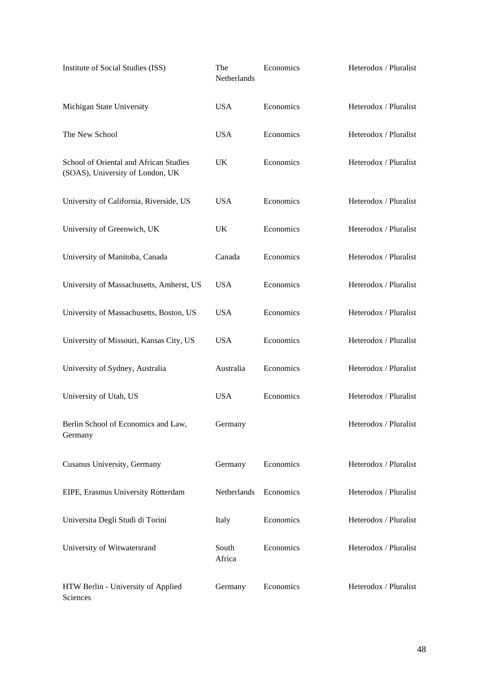| Institute of Social Studies (ISS)                                          | The<br>Netherlands | Economics | Heterodox / Pluralist |
|----------------------------------------------------------------------------|--------------------|-----------|-----------------------|
| Michigan State University                                                  | <b>USA</b>         | Economics | Heterodox / Pluralist |
| The New School                                                             | <b>USA</b>         | Economics | Heterodox / Pluralist |
| School of Oriental and African Studies<br>(SOAS), University of London, UK | UK                 | Economics | Heterodox / Pluralist |
| University of California, Riverside, US                                    | <b>USA</b>         | Economics | Heterodox / Pluralist |
| University of Greenwich, UK                                                | UK                 | Economics | Heterodox / Pluralist |
| University of Manitoba, Canada                                             | Canada             | Economics | Heterodox / Pluralist |
| University of Massachusetts, Amherst, US                                   | <b>USA</b>         | Economics | Heterodox / Pluralist |
| University of Massachusetts, Boston, US                                    | <b>USA</b>         | Economics | Heterodox / Pluralist |
| University of Missouri, Kansas City, US                                    | <b>USA</b>         | Economics | Heterodox / Pluralist |
| University of Sydney, Australia                                            | Australia          | Economics | Heterodox / Pluralist |
| University of Utah, US                                                     | <b>USA</b>         | Economics | Heterodox / Pluralist |
| Berlin School of Economics and Law,<br>Germany                             | Germany            |           | Heterodox / Pluralist |
| Cusanus University, Germany                                                | Germany            | Economics | Heterodox / Pluralist |
| EIPE, Erasmus University Rotterdam                                         | Netherlands        | Economics | Heterodox / Pluralist |
| Universita Degli Studi di Torini                                           | Italy              | Economics | Heterodox / Pluralist |
| University of Witwatersrand                                                | South<br>Africa    | Economics | Heterodox / Pluralist |
| HTW Berlin - University of Applied<br>Sciences                             | Germany            | Economics | Heterodox / Pluralist |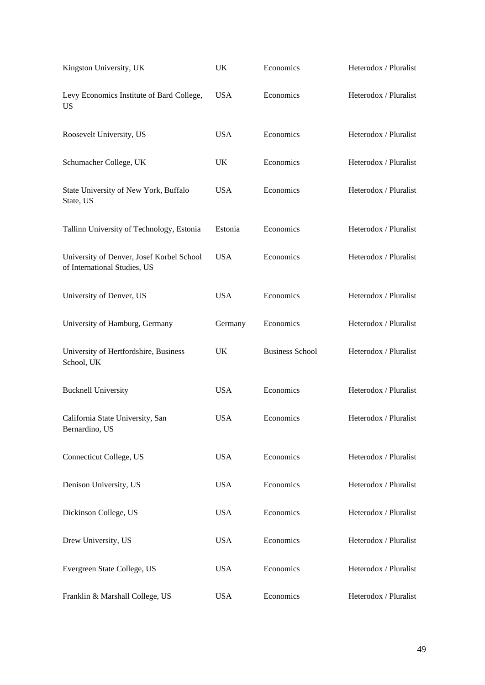| Kingston University, UK                                                   | UK         | Economics              | Heterodox / Pluralist |
|---------------------------------------------------------------------------|------------|------------------------|-----------------------|
| Levy Economics Institute of Bard College,<br>US                           | <b>USA</b> | Economics              | Heterodox / Pluralist |
| Roosevelt University, US                                                  | <b>USA</b> | Economics              | Heterodox / Pluralist |
| Schumacher College, UK                                                    | UK         | Economics              | Heterodox / Pluralist |
| State University of New York, Buffalo<br>State, US                        | <b>USA</b> | Economics              | Heterodox / Pluralist |
| Tallinn University of Technology, Estonia                                 | Estonia    | Economics              | Heterodox / Pluralist |
| University of Denver, Josef Korbel School<br>of International Studies, US | <b>USA</b> | Economics              | Heterodox / Pluralist |
| University of Denver, US                                                  | <b>USA</b> | Economics              | Heterodox / Pluralist |
| University of Hamburg, Germany                                            | Germany    | Economics              | Heterodox / Pluralist |
| University of Hertfordshire, Business<br>School, UK                       | UK         | <b>Business School</b> | Heterodox / Pluralist |
| <b>Bucknell University</b>                                                | <b>USA</b> | Economics              | Heterodox / Pluralist |
| California State University, San<br>Bernardino, US                        | <b>USA</b> | Economics              | Heterodox / Pluralist |
| <b>Connecticut College, US</b>                                            | <b>USA</b> | Economics              | Heterodox / Pluralist |
| Denison University, US                                                    | <b>USA</b> | Economics              | Heterodox / Pluralist |
| Dickinson College, US                                                     | <b>USA</b> | Economics              | Heterodox / Pluralist |
| Drew University, US                                                       | <b>USA</b> | Economics              | Heterodox / Pluralist |
| Evergreen State College, US                                               | <b>USA</b> | Economics              | Heterodox / Pluralist |
| Franklin & Marshall College, US                                           | <b>USA</b> | Economics              | Heterodox / Pluralist |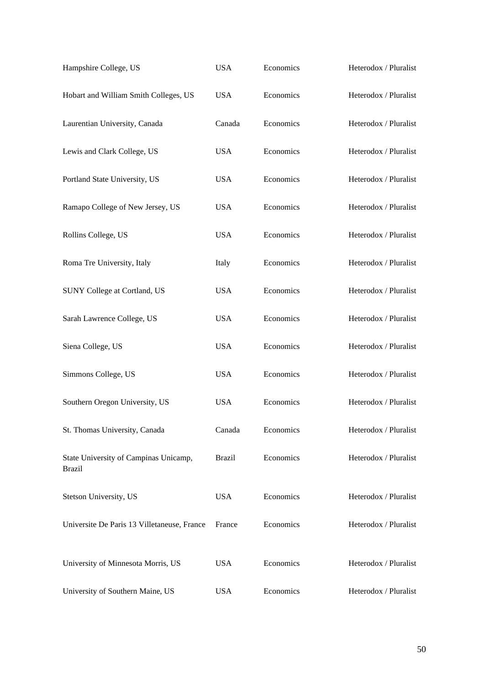| Hampshire College, US                                  | <b>USA</b>    | Economics | Heterodox / Pluralist |
|--------------------------------------------------------|---------------|-----------|-----------------------|
| Hobart and William Smith Colleges, US                  | <b>USA</b>    | Economics | Heterodox / Pluralist |
| Laurentian University, Canada                          | Canada        | Economics | Heterodox / Pluralist |
| Lewis and Clark College, US                            | <b>USA</b>    | Economics | Heterodox / Pluralist |
| Portland State University, US                          | <b>USA</b>    | Economics | Heterodox / Pluralist |
| Ramapo College of New Jersey, US                       | <b>USA</b>    | Economics | Heterodox / Pluralist |
| Rollins College, US                                    | <b>USA</b>    | Economics | Heterodox / Pluralist |
| Roma Tre University, Italy                             | Italy         | Economics | Heterodox / Pluralist |
| SUNY College at Cortland, US                           | <b>USA</b>    | Economics | Heterodox / Pluralist |
| Sarah Lawrence College, US                             | <b>USA</b>    | Economics | Heterodox / Pluralist |
| Siena College, US                                      | <b>USA</b>    | Economics | Heterodox / Pluralist |
| Simmons College, US                                    | <b>USA</b>    | Economics | Heterodox / Pluralist |
| Southern Oregon University, US                         | <b>USA</b>    | Economics | Heterodox / Pluralist |
| St. Thomas University, Canada                          | Canada        | Economics | Heterodox / Pluralist |
| State University of Campinas Unicamp,<br><b>Brazil</b> | <b>Brazil</b> | Economics | Heterodox / Pluralist |
| Stetson University, US                                 | <b>USA</b>    | Economics | Heterodox / Pluralist |
| Universite De Paris 13 Villetaneuse, France            | France        | Economics | Heterodox / Pluralist |
| University of Minnesota Morris, US                     | <b>USA</b>    | Economics | Heterodox / Pluralist |
| University of Southern Maine, US                       | <b>USA</b>    | Economics | Heterodox / Pluralist |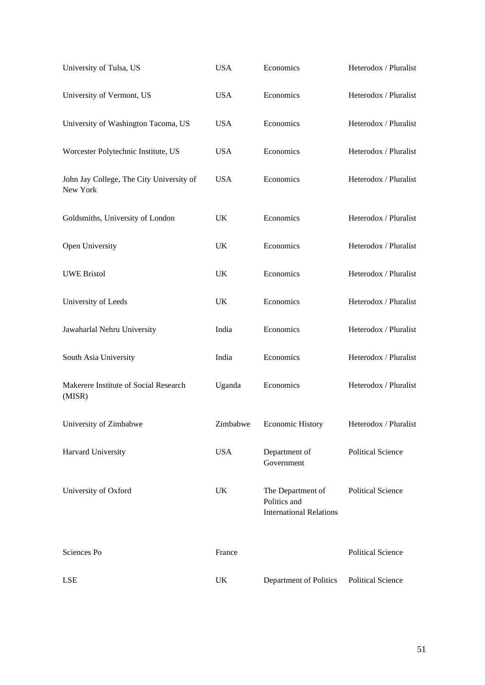| University of Tulsa, US                              | <b>USA</b> | Economics                                                           | Heterodox / Pluralist    |
|------------------------------------------------------|------------|---------------------------------------------------------------------|--------------------------|
| University of Vermont, US                            | <b>USA</b> | Economics                                                           | Heterodox / Pluralist    |
| University of Washington Tacoma, US                  | <b>USA</b> | Economics                                                           | Heterodox / Pluralist    |
| Worcester Polytechnic Institute, US                  | <b>USA</b> | Economics                                                           | Heterodox / Pluralist    |
| John Jay College, The City University of<br>New York | <b>USA</b> | Economics                                                           | Heterodox / Pluralist    |
| Goldsmiths, University of London                     | UK         | Economics                                                           | Heterodox / Pluralist    |
| Open University                                      | UK         | Economics                                                           | Heterodox / Pluralist    |
| <b>UWE Bristol</b>                                   | UK         | Economics                                                           | Heterodox / Pluralist    |
| University of Leeds                                  | UK         | Economics                                                           | Heterodox / Pluralist    |
| Jawaharlal Nehru University                          | India      | Economics                                                           | Heterodox / Pluralist    |
| South Asia University                                | India      | Economics                                                           | Heterodox / Pluralist    |
| Makerere Institute of Social Research<br>(MISR)      | Uganda     | Economics                                                           | Heterodox / Pluralist    |
| University of Zimbabwe                               | Zimbabwe   | <b>Economic History</b>                                             | Heterodox / Pluralist    |
| Harvard University                                   | <b>USA</b> | Department of<br>Government                                         | <b>Political Science</b> |
| University of Oxford                                 | UK         | The Department of<br>Politics and<br><b>International Relations</b> | <b>Political Science</b> |
| Sciences Po                                          | France     |                                                                     | <b>Political Science</b> |
| <b>LSE</b>                                           | UK         | Department of Politics                                              | <b>Political Science</b> |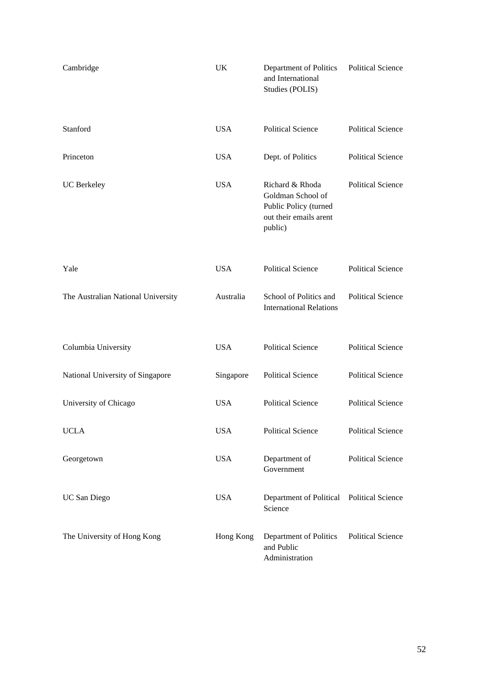| Cambridge                          | UK         | Department of Politics<br>and International<br>Studies (POLIS)                                     | <b>Political Science</b> |
|------------------------------------|------------|----------------------------------------------------------------------------------------------------|--------------------------|
| Stanford                           | <b>USA</b> | <b>Political Science</b>                                                                           | <b>Political Science</b> |
| Princeton                          | <b>USA</b> | Dept. of Politics                                                                                  | <b>Political Science</b> |
| UC Berkeley                        | <b>USA</b> | Richard & Rhoda<br>Goldman School of<br>Public Policy (turned<br>out their emails arent<br>public) | <b>Political Science</b> |
| Yale                               | <b>USA</b> | <b>Political Science</b>                                                                           | <b>Political Science</b> |
| The Australian National University | Australia  | School of Politics and<br><b>International Relations</b>                                           | <b>Political Science</b> |
| Columbia University                | <b>USA</b> | <b>Political Science</b>                                                                           | <b>Political Science</b> |
| National University of Singapore   | Singapore  | <b>Political Science</b>                                                                           | <b>Political Science</b> |
| University of Chicago              | <b>USA</b> | <b>Political Science</b>                                                                           | <b>Political Science</b> |
| <b>UCLA</b>                        | <b>USA</b> | <b>Political Science</b>                                                                           | <b>Political Science</b> |
| Georgetown                         | <b>USA</b> | Department of<br>Government                                                                        | <b>Political Science</b> |
| UC San Diego                       | <b>USA</b> | Department of Political Political Science<br>Science                                               |                          |
| The University of Hong Kong        | Hong Kong  | Department of Politics<br>and Public<br>Administration                                             | <b>Political Science</b> |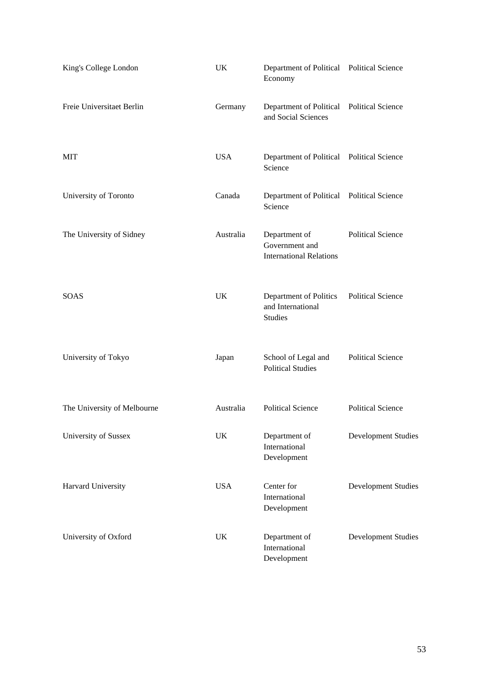| King's College London       | UK         | Department of Political Political Science<br>Economy              |                            |
|-----------------------------|------------|-------------------------------------------------------------------|----------------------------|
| Freie Universitaet Berlin   | Germany    | Department of Political Political Science<br>and Social Sciences  |                            |
| MIT                         | <b>USA</b> | Department of Political Political Science<br>Science              |                            |
| University of Toronto       | Canada     | Department of Political Political Science<br>Science              |                            |
| The University of Sidney    | Australia  | Department of<br>Government and<br><b>International Relations</b> | <b>Political Science</b>   |
| <b>SOAS</b>                 | UK.        | Department of Politics<br>and International<br><b>Studies</b>     | <b>Political Science</b>   |
| University of Tokyo         | Japan      | School of Legal and<br><b>Political Studies</b>                   | <b>Political Science</b>   |
| The University of Melbourne | Australia  | <b>Political Science</b>                                          | <b>Political Science</b>   |
| University of Sussex        | UK         | Department of<br>International<br>Development                     | Development Studies        |
| Harvard University          | <b>USA</b> | Center for<br>International<br>Development                        | <b>Development Studies</b> |
| University of Oxford        | UK         | Department of<br>International<br>Development                     | <b>Development Studies</b> |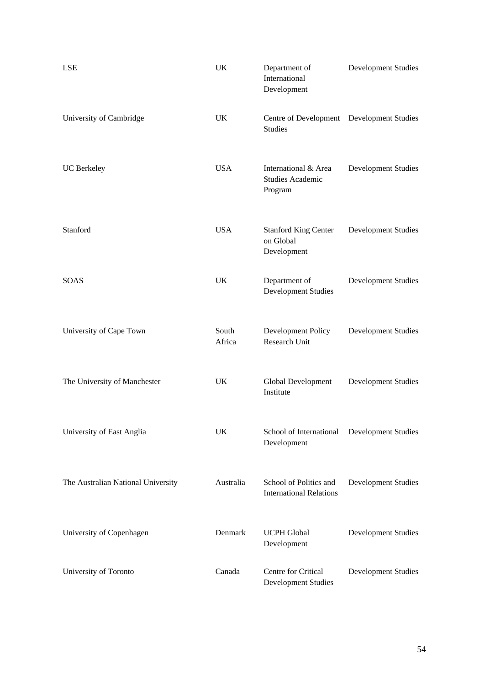| LSE                                | UK              | Department of<br>International<br>Development              | <b>Development Studies</b> |
|------------------------------------|-----------------|------------------------------------------------------------|----------------------------|
| University of Cambridge            | UK              | Centre of Development Development Studies<br>Studies       |                            |
| <b>UC</b> Berkeley                 | <b>USA</b>      | International & Area<br><b>Studies Academic</b><br>Program | <b>Development Studies</b> |
| Stanford                           | <b>USA</b>      | <b>Stanford King Center</b><br>on Global<br>Development    | <b>Development Studies</b> |
| <b>SOAS</b>                        | UK              | Department of<br><b>Development Studies</b>                | <b>Development Studies</b> |
| University of Cape Town            | South<br>Africa | Development Policy<br>Research Unit                        | <b>Development Studies</b> |
| The University of Manchester       | UK              | Global Development<br>Institute                            | <b>Development Studies</b> |
| University of East Anglia          | UK              | School of International<br>Development                     | <b>Development Studies</b> |
| The Australian National University | Australia       | School of Politics and<br><b>International Relations</b>   | <b>Development Studies</b> |
| University of Copenhagen           | Denmark         | <b>UCPH</b> Global<br>Development                          | <b>Development Studies</b> |
| University of Toronto              | Canada          | Centre for Critical<br><b>Development Studies</b>          | <b>Development Studies</b> |